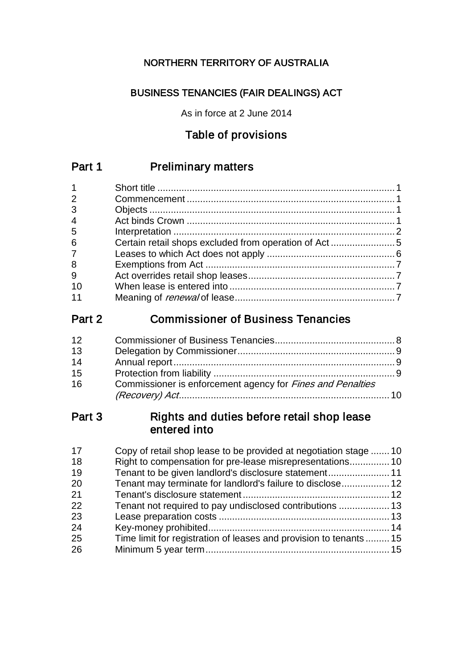# NORTHERN TERRITORY OF AUSTRALIA

## BUSINESS TENANCIES (FAIR DEALINGS) ACT

As in force at 2 June 2014

# Table of provisions

# Part 1 Preliminary matters

| $\mathbf 1$    |  |
|----------------|--|
| $\overline{2}$ |  |
| 3              |  |
| $\overline{4}$ |  |
| 5              |  |
| 6              |  |
| $\overline{7}$ |  |
| 8              |  |
| 9              |  |
| 10             |  |
| 11             |  |

# Part 2 Commissioner of Business Tenancies

| 12 |                                                            |  |
|----|------------------------------------------------------------|--|
| 13 |                                                            |  |
| 14 |                                                            |  |
| 15 |                                                            |  |
| 16 | Commissioner is enforcement agency for Fines and Penalties |  |
|    |                                                            |  |

# Part 3 Rights and duties before retail shop lease entered into

| 17 | Copy of retail shop lease to be provided at negotiation stage  10 |  |
|----|-------------------------------------------------------------------|--|
| 18 | Right to compensation for pre-lease misrepresentations 10         |  |
| 19 | Tenant to be given landlord's disclosure statement 11             |  |
| 20 | Tenant may terminate for landlord's failure to disclose 12        |  |
| 21 |                                                                   |  |
| 22 |                                                                   |  |
| 23 |                                                                   |  |
| 24 |                                                                   |  |
| 25 | Time limit for registration of leases and provision to tenants 15 |  |
| 26 |                                                                   |  |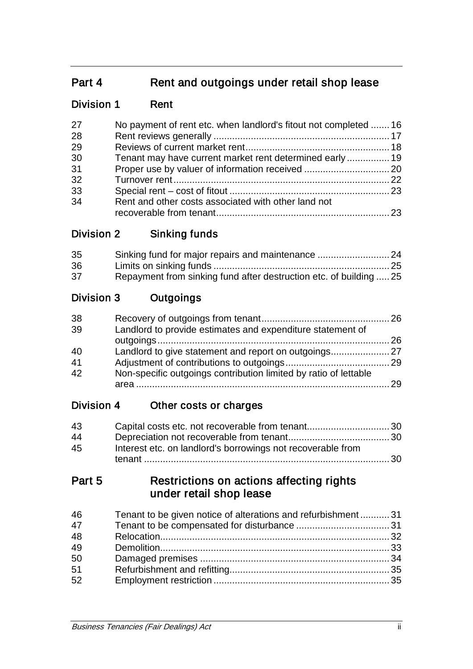# Part 4 Rent and outgoings under retail shop lease

# Division 1 Rent

| 27 | No payment of rent etc. when landlord's fitout not completed  16 |  |
|----|------------------------------------------------------------------|--|
| 28 |                                                                  |  |
| 29 |                                                                  |  |
| 30 | Tenant may have current market rent determined early 19          |  |
| 31 |                                                                  |  |
| 32 |                                                                  |  |
| 33 |                                                                  |  |
| 34 | Rent and other costs associated with other land not              |  |
|    |                                                                  |  |

# Division 2 Sinking funds

| 35 |                                                                    |  |
|----|--------------------------------------------------------------------|--|
| 36 |                                                                    |  |
| 37 | Repayment from sinking fund after destruction etc. of building  25 |  |

## Division 3 Outgoings

| 38 |                                                                  |  |
|----|------------------------------------------------------------------|--|
| 39 | Landlord to provide estimates and expenditure statement of       |  |
|    |                                                                  |  |
| 40 |                                                                  |  |
| 41 |                                                                  |  |
| 42 | Non-specific outgoings contribution limited by ratio of lettable |  |
|    |                                                                  |  |

# Division 4 Other costs or charges

| 43 |                                                             |  |
|----|-------------------------------------------------------------|--|
| 44 |                                                             |  |
| 45 | Interest etc. on landlord's borrowings not recoverable from |  |
|    |                                                             |  |

# Part 5 Restrictions on actions affecting rights under retail shop lease

| 46 | Tenant to be given notice of alterations and refurbishment31 |  |
|----|--------------------------------------------------------------|--|
| 47 |                                                              |  |
| 48 |                                                              |  |
| 49 |                                                              |  |
| 50 |                                                              |  |
| 51 |                                                              |  |
| 52 |                                                              |  |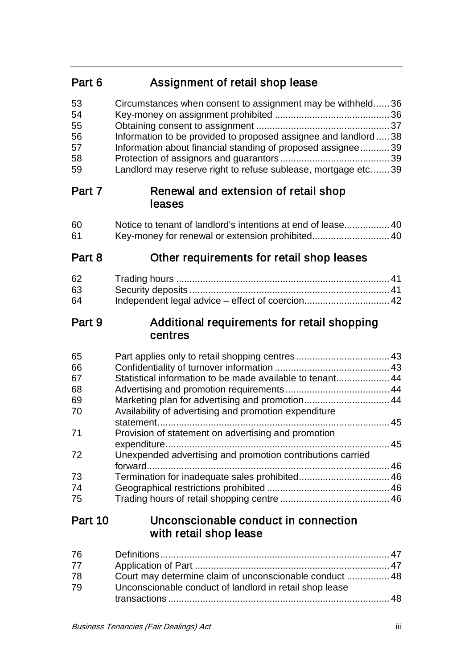# Part 6 Assignment of retail shop lease

| 53 | Circumstances when consent to assignment may be withheld36       |  |
|----|------------------------------------------------------------------|--|
| 54 |                                                                  |  |
| 55 |                                                                  |  |
| 56 | Information to be provided to proposed assignee and landlord  38 |  |
| 57 | Information about financial standing of proposed assignee39      |  |
| 58 |                                                                  |  |
| 59 | Landlord may reserve right to refuse sublease, mortgage etc 39   |  |

# Part 7 Renewal and extension of retail shop leases

| 60 |  |
|----|--|
| 61 |  |

# Part 8 Other requirements for retail shop leases

| 62 |  |
|----|--|
| 63 |  |
| 64 |  |

### Part 9 Additional requirements for retail shopping centres

| 65 |                                                            |  |
|----|------------------------------------------------------------|--|
| 66 |                                                            |  |
| 67 | Statistical information to be made available to tenant44   |  |
| 68 |                                                            |  |
| 69 |                                                            |  |
| 70 | Availability of advertising and promotion expenditure      |  |
|    |                                                            |  |
| 71 | Provision of statement on advertising and promotion        |  |
|    |                                                            |  |
| 72 | Unexpended advertising and promotion contributions carried |  |
|    |                                                            |  |
| 73 |                                                            |  |
| 74 |                                                            |  |
| 75 |                                                            |  |
|    |                                                            |  |

# Part 10 Unconscionable conduct in connection with retail shop lease

| 76 |                                                         |  |
|----|---------------------------------------------------------|--|
| 77 |                                                         |  |
| 78 | Court may determine claim of unconscionable conduct  48 |  |
| 79 | Unconscionable conduct of landlord in retail shop lease |  |
|    |                                                         |  |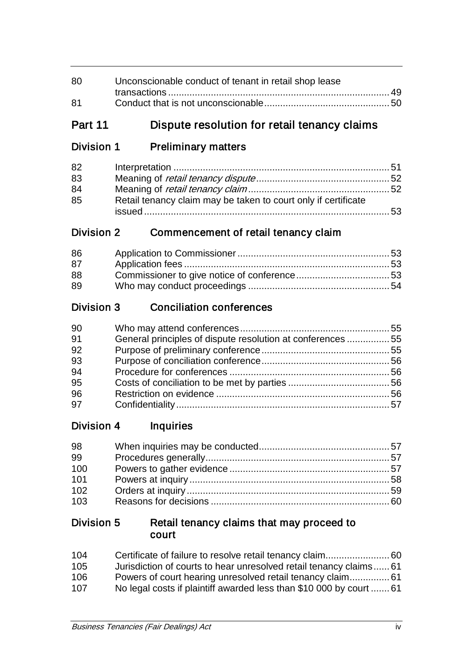| 80 | Unconscionable conduct of tenant in retail shop lease |  |
|----|-------------------------------------------------------|--|
|    |                                                       |  |
| 81 |                                                       |  |

# Part 11 Dispute resolution for retail tenancy claims

# Division 1 Preliminary matters

| 82 |                                                                |  |
|----|----------------------------------------------------------------|--|
| 83 |                                                                |  |
| 84 |                                                                |  |
| 85 | Retail tenancy claim may be taken to court only if certificate |  |

# Division 2 Commencement of retail tenancy claim

| 86 |  |
|----|--|
| 87 |  |
| 88 |  |
| 89 |  |

## Division 3 Conciliation conferences

| 90 |                                                             |  |
|----|-------------------------------------------------------------|--|
| 91 | General principles of dispute resolution at conferences  55 |  |
| 92 |                                                             |  |
| 93 |                                                             |  |
| 94 |                                                             |  |
| 95 |                                                             |  |
| 96 |                                                             |  |
| 97 |                                                             |  |

# Division 4 Inquiries

| 98  |  |
|-----|--|
| 99  |  |
| 100 |  |
| 101 |  |
| 102 |  |
| 103 |  |

## Division 5 Retail tenancy claims that may proceed to court

| 104 |                                                                     |
|-----|---------------------------------------------------------------------|
| 105 | Jurisdiction of courts to hear unresolved retail tenancy claims61   |
| 106 |                                                                     |
| 107 | No legal costs if plaintiff awarded less than \$10 000 by court  61 |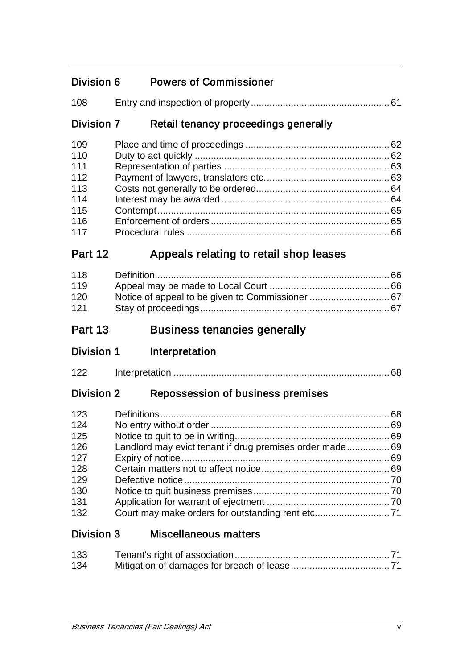# Division 6 Powers of Commissioner

| 108 |  |
|-----|--|
|     |  |

# Division 7 Retail tenancy proceedings generally

| 109 |  |
|-----|--|
| 110 |  |
| 111 |  |
| 112 |  |
| 113 |  |
| 114 |  |
| 115 |  |
| 116 |  |
| 117 |  |

# Part 12 Appeals relating to retail shop leases

| 118 |  |
|-----|--|
| 119 |  |
| 120 |  |
| 121 |  |

# Part 13 Business tenancies generally

| 122 |  |  |
|-----|--|--|
|-----|--|--|

# Division 2 Repossession of business premises

| 123 |                                                          |  |
|-----|----------------------------------------------------------|--|
| 124 |                                                          |  |
| 125 |                                                          |  |
| 126 | Landlord may evict tenant if drug premises order made 69 |  |
| 127 |                                                          |  |
| 128 |                                                          |  |
| 129 |                                                          |  |
| 130 |                                                          |  |
| 131 |                                                          |  |
| 132 |                                                          |  |

# Division 3 Miscellaneous matters

| 133 |  |
|-----|--|
| 134 |  |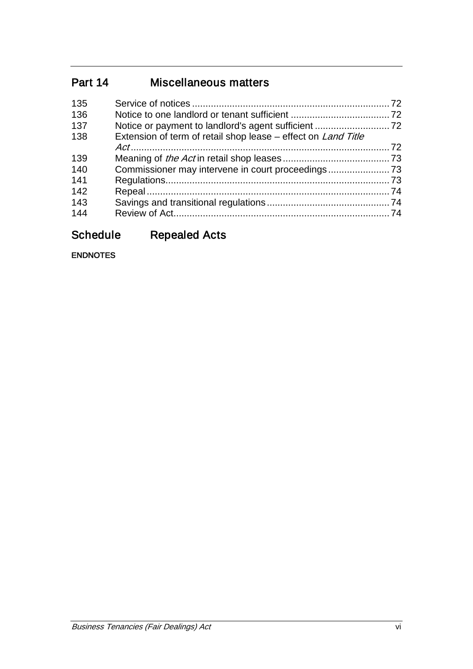# Part 14 Miscellaneous matters

| 135 |                                                               |  |
|-----|---------------------------------------------------------------|--|
| 136 |                                                               |  |
| 137 |                                                               |  |
| 138 | Extension of term of retail shop lease - effect on Land Title |  |
|     |                                                               |  |
| 139 |                                                               |  |
| 140 |                                                               |  |
| 141 |                                                               |  |
| 142 |                                                               |  |
| 143 |                                                               |  |
| 144 |                                                               |  |
|     |                                                               |  |

# Schedule Repealed Acts

ENDNOTES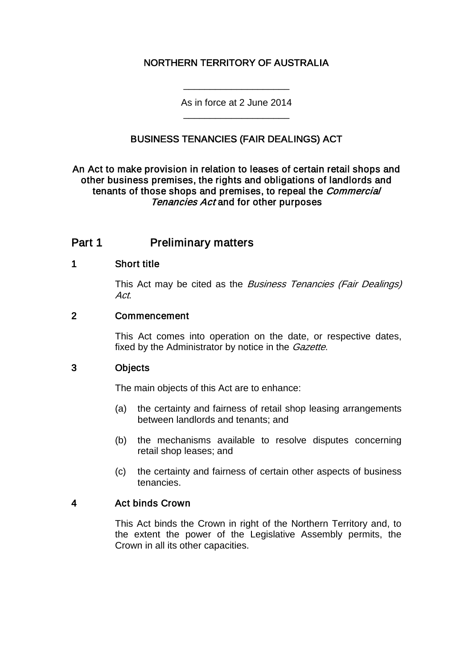### NORTHERN TERRITORY OF AUSTRALIA

As in force at 2 June 2014 \_\_\_\_\_\_\_\_\_\_\_\_\_\_\_\_\_\_\_\_

\_\_\_\_\_\_\_\_\_\_\_\_\_\_\_\_\_\_\_\_

### BUSINESS TENANCIES (FAIR DEALINGS) ACT

An Act to make provision in relation to leases of certain retail shops and other business premises, the rights and obligations of landlords and tenants of those shops and premises, to repeal the *Commercial* Tenancies Act and for other purposes

### Part 1 **Preliminary matters**

### 1 Short title

This Act may be cited as the *Business Tenancies (Fair Dealings)* Act.

### 2 Commencement

This Act comes into operation on the date, or respective dates, fixed by the Administrator by notice in the *Gazette*.

### 3 Objects

The main objects of this Act are to enhance:

- (a) the certainty and fairness of retail shop leasing arrangements between landlords and tenants; and
- (b) the mechanisms available to resolve disputes concerning retail shop leases; and
- (c) the certainty and fairness of certain other aspects of business tenancies.

### 4 Act binds Crown

This Act binds the Crown in right of the Northern Territory and, to the extent the power of the Legislative Assembly permits, the Crown in all its other capacities.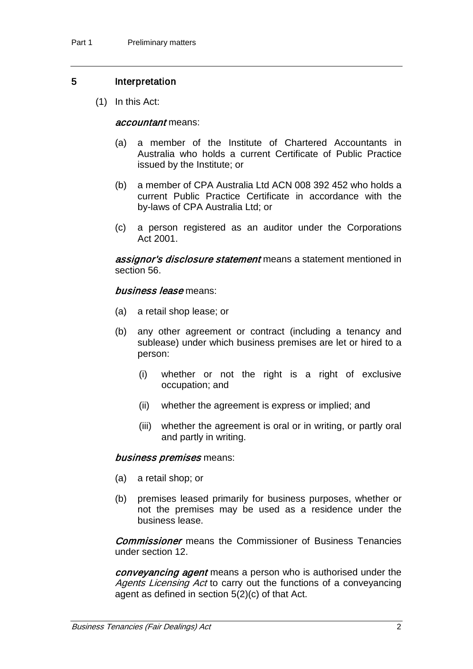### 5 Interpretation

(1) In this Act:

#### accountant means:

- (a) a member of the Institute of Chartered Accountants in Australia who holds a current Certificate of Public Practice issued by the Institute; or
- (b) a member of CPA Australia Ltd ACN 008 392 452 who holds a current Public Practice Certificate in accordance with the by-laws of CPA Australia Ltd; or
- (c) a person registered as an auditor under the Corporations Act 2001.

assignor's disclosure statement means a statement mentioned in section 56.

#### business lease means:

- (a) a retail shop lease; or
- (b) any other agreement or contract (including a tenancy and sublease) under which business premises are let or hired to a person:
	- (i) whether or not the right is a right of exclusive occupation; and
	- (ii) whether the agreement is express or implied; and
	- (iii) whether the agreement is oral or in writing, or partly oral and partly in writing.

#### business premises means:

- (a) a retail shop; or
- (b) premises leased primarily for business purposes, whether or not the premises may be used as a residence under the business lease.

**Commissioner** means the Commissioner of Business Tenancies under section 12.

conveyancing agent means a person who is authorised under the Agents Licensing Act to carry out the functions of a conveyancing agent as defined in section 5(2)(c) of that Act.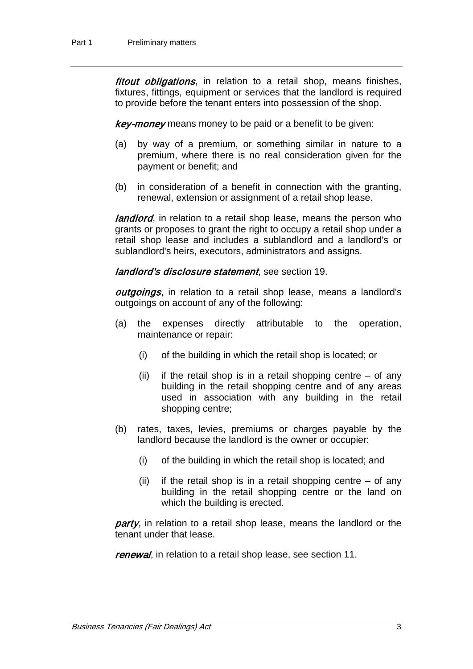fitout obligations, in relation to a retail shop, means finishes, fixtures, fittings, equipment or services that the landlord is required to provide before the tenant enters into possession of the shop.

key-money means money to be paid or a benefit to be given:

- (a) by way of a premium, or something similar in nature to a premium, where there is no real consideration given for the payment or benefit; and
- (b) in consideration of a benefit in connection with the granting, renewal, extension or assignment of a retail shop lease.

**landlord**, in relation to a retail shop lease, means the person who grants or proposes to grant the right to occupy a retail shop under a retail shop lease and includes a sublandlord and a landlord's or sublandlord's heirs, executors, administrators and assigns.

landlord's disclosure statement, see section 19.

*outgoings*, in relation to a retail shop lease, means a landlord's outgoings on account of any of the following:

- (a) the expenses directly attributable to the operation, maintenance or repair:
	- (i) of the building in which the retail shop is located; or
	- (ii) if the retail shop is in a retail shopping centre  $-$  of any building in the retail shopping centre and of any areas used in association with any building in the retail shopping centre;
- (b) rates, taxes, levies, premiums or charges payable by the landlord because the landlord is the owner or occupier:
	- (i) of the building in which the retail shop is located; and
	- (ii) if the retail shop is in a retail shopping centre  $-$  of any building in the retail shopping centre or the land on which the building is erected.

party, in relation to a retail shop lease, means the landlord or the tenant under that lease.

renewal, in relation to a retail shop lease, see section 11.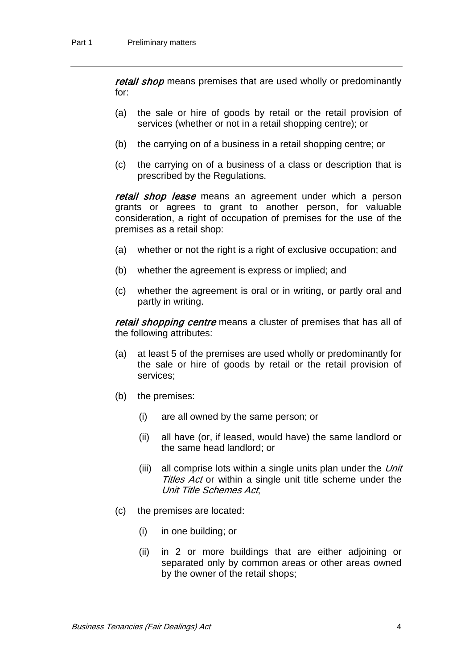retail shop means premises that are used wholly or predominantly for:

- (a) the sale or hire of goods by retail or the retail provision of services (whether or not in a retail shopping centre); or
- (b) the carrying on of a business in a retail shopping centre; or
- (c) the carrying on of a business of a class or description that is prescribed by the Regulations.

retail shop lease means an agreement under which a person grants or agrees to grant to another person, for valuable consideration, a right of occupation of premises for the use of the premises as a retail shop:

- (a) whether or not the right is a right of exclusive occupation; and
- (b) whether the agreement is express or implied; and
- (c) whether the agreement is oral or in writing, or partly oral and partly in writing.

retail shopping centre means a cluster of premises that has all of the following attributes:

- (a) at least 5 of the premises are used wholly or predominantly for the sale or hire of goods by retail or the retail provision of services;
- (b) the premises:
	- (i) are all owned by the same person; or
	- (ii) all have (or, if leased, would have) the same landlord or the same head landlord; or
	- (iii) all comprise lots within a single units plan under the  $Unit$ Titles Act or within a single unit title scheme under the Unit Title Schemes Act;
- (c) the premises are located:
	- (i) in one building; or
	- (ii) in 2 or more buildings that are either adjoining or separated only by common areas or other areas owned by the owner of the retail shops;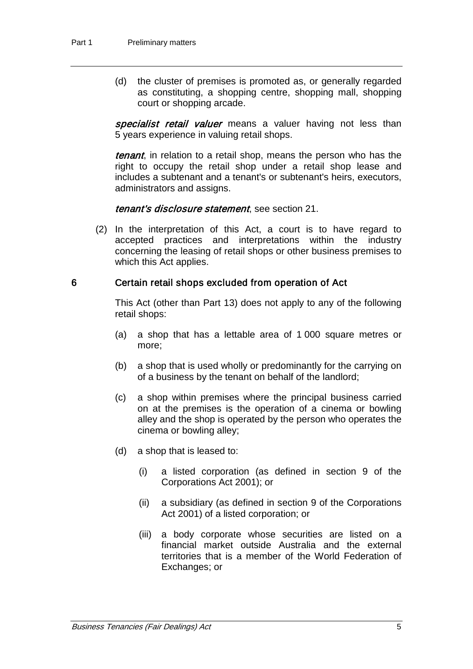(d) the cluster of premises is promoted as, or generally regarded as constituting, a shopping centre, shopping mall, shopping court or shopping arcade.

specialist retail valuer means a valuer having not less than 5 years experience in valuing retail shops.

tenant, in relation to a retail shop, means the person who has the right to occupy the retail shop under a retail shop lease and includes a subtenant and a tenant's or subtenant's heirs, executors, administrators and assigns.

### tenant's disclosure statement, see section 21.

(2) In the interpretation of this Act, a court is to have regard to accepted practices and interpretations within the industry concerning the leasing of retail shops or other business premises to which this Act applies.

### 6 Certain retail shops excluded from operation of Act

This Act (other than Part 13) does not apply to any of the following retail shops:

- (a) a shop that has a lettable area of 1 000 square metres or more;
- (b) a shop that is used wholly or predominantly for the carrying on of a business by the tenant on behalf of the landlord;
- (c) a shop within premises where the principal business carried on at the premises is the operation of a cinema or bowling alley and the shop is operated by the person who operates the cinema or bowling alley;
- (d) a shop that is leased to:
	- (i) a listed corporation (as defined in section 9 of the Corporations Act 2001); or
	- (ii) a subsidiary (as defined in section 9 of the Corporations Act 2001) of a listed corporation; or
	- (iii) a body corporate whose securities are listed on a financial market outside Australia and the external territories that is a member of the World Federation of Exchanges; or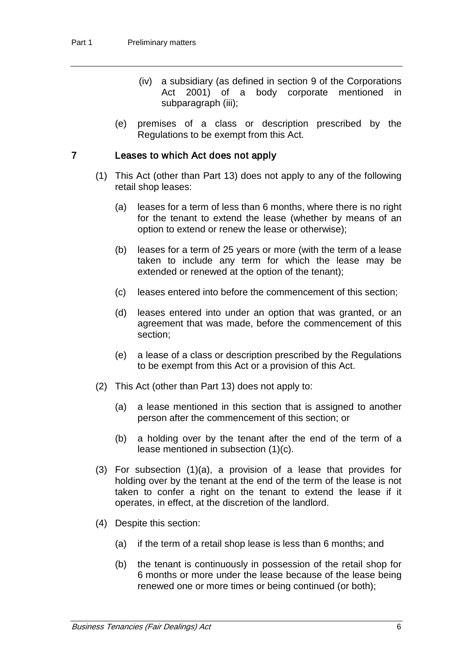- (iv) a subsidiary (as defined in section 9 of the Corporations Act 2001) of a body corporate mentioned in subparagraph (iii);
- (e) premises of a class or description prescribed by the Regulations to be exempt from this Act.

### 7 Leases to which Act does not apply

- (1) This Act (other than Part 13) does not apply to any of the following retail shop leases:
	- (a) leases for a term of less than 6 months, where there is no right for the tenant to extend the lease (whether by means of an option to extend or renew the lease or otherwise);
	- (b) leases for a term of 25 years or more (with the term of a lease taken to include any term for which the lease may be extended or renewed at the option of the tenant);
	- (c) leases entered into before the commencement of this section;
	- (d) leases entered into under an option that was granted, or an agreement that was made, before the commencement of this section;
	- (e) a lease of a class or description prescribed by the Regulations to be exempt from this Act or a provision of this Act.
- (2) This Act (other than Part 13) does not apply to:
	- (a) a lease mentioned in this section that is assigned to another person after the commencement of this section; or
	- (b) a holding over by the tenant after the end of the term of a lease mentioned in subsection (1)(c).
- (3) For subsection (1)(a), a provision of a lease that provides for holding over by the tenant at the end of the term of the lease is not taken to confer a right on the tenant to extend the lease if it operates, in effect, at the discretion of the landlord.
- (4) Despite this section:
	- (a) if the term of a retail shop lease is less than 6 months; and
	- (b) the tenant is continuously in possession of the retail shop for 6 months or more under the lease because of the lease being renewed one or more times or being continued (or both);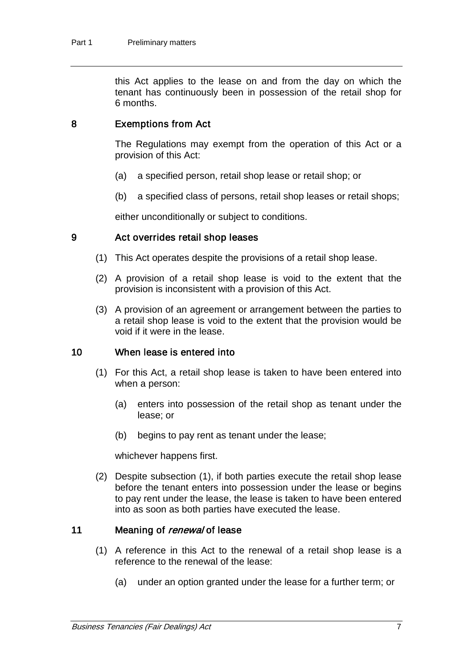this Act applies to the lease on and from the day on which the tenant has continuously been in possession of the retail shop for 6 months.

### 8 Exemptions from Act

The Regulations may exempt from the operation of this Act or a provision of this Act:

- (a) a specified person, retail shop lease or retail shop; or
- (b) a specified class of persons, retail shop leases or retail shops;

either unconditionally or subject to conditions.

### 9 Act overrides retail shop leases

- (1) This Act operates despite the provisions of a retail shop lease.
- (2) A provision of a retail shop lease is void to the extent that the provision is inconsistent with a provision of this Act.
- (3) A provision of an agreement or arrangement between the parties to a retail shop lease is void to the extent that the provision would be void if it were in the lease.

### 10 When lease is entered into

- (1) For this Act, a retail shop lease is taken to have been entered into when a person:
	- (a) enters into possession of the retail shop as tenant under the lease; or
	- (b) begins to pay rent as tenant under the lease;

whichever happens first.

(2) Despite subsection (1), if both parties execute the retail shop lease before the tenant enters into possession under the lease or begins to pay rent under the lease, the lease is taken to have been entered into as soon as both parties have executed the lease.

### 11 Meaning of *renewal* of lease

- (1) A reference in this Act to the renewal of a retail shop lease is a reference to the renewal of the lease:
	- (a) under an option granted under the lease for a further term; or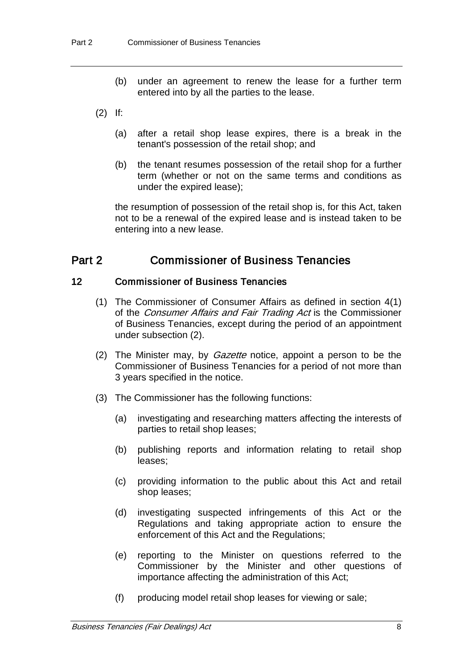- (b) under an agreement to renew the lease for a further term entered into by all the parties to the lease.
- (2) If:
	- (a) after a retail shop lease expires, there is a break in the tenant's possession of the retail shop; and
	- (b) the tenant resumes possession of the retail shop for a further term (whether or not on the same terms and conditions as under the expired lease);

the resumption of possession of the retail shop is, for this Act, taken not to be a renewal of the expired lease and is instead taken to be entering into a new lease.

### Part 2 Commissioner of Business Tenancies

### 12 Commissioner of Business Tenancies

- (1) The Commissioner of Consumer Affairs as defined in section 4(1) of the Consumer Affairs and Fair Trading Act is the Commissioner of Business Tenancies, except during the period of an appointment under subsection (2).
- (2) The Minister may, by *Gazette* notice, appoint a person to be the Commissioner of Business Tenancies for a period of not more than 3 years specified in the notice.
- (3) The Commissioner has the following functions:
	- (a) investigating and researching matters affecting the interests of parties to retail shop leases;
	- (b) publishing reports and information relating to retail shop leases;
	- (c) providing information to the public about this Act and retail shop leases;
	- (d) investigating suspected infringements of this Act or the Regulations and taking appropriate action to ensure the enforcement of this Act and the Regulations;
	- (e) reporting to the Minister on questions referred to the Commissioner by the Minister and other questions of importance affecting the administration of this Act;
	- (f) producing model retail shop leases for viewing or sale;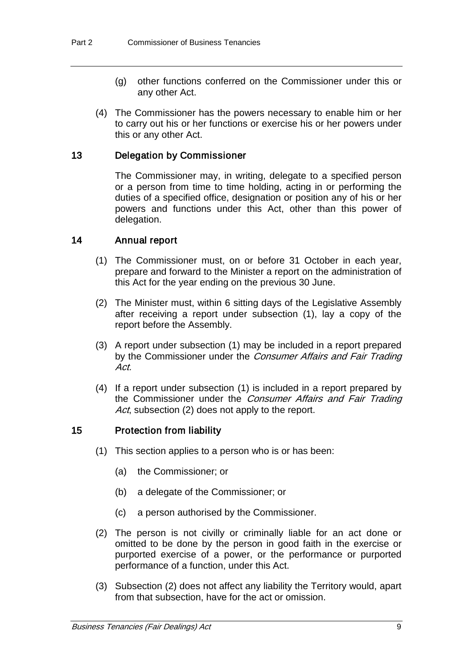- (g) other functions conferred on the Commissioner under this or any other Act.
- (4) The Commissioner has the powers necessary to enable him or her to carry out his or her functions or exercise his or her powers under this or any other Act.

### 13 Delegation by Commissioner

The Commissioner may, in writing, delegate to a specified person or a person from time to time holding, acting in or performing the duties of a specified office, designation or position any of his or her powers and functions under this Act, other than this power of delegation.

### 14 Annual report

- (1) The Commissioner must, on or before 31 October in each year, prepare and forward to the Minister a report on the administration of this Act for the year ending on the previous 30 June.
- (2) The Minister must, within 6 sitting days of the Legislative Assembly after receiving a report under subsection (1), lay a copy of the report before the Assembly.
- (3) A report under subsection (1) may be included in a report prepared by the Commissioner under the *Consumer Affairs and Fair Trading* Act.
- (4) If a report under subsection (1) is included in a report prepared by the Commissioner under the Consumer Affairs and Fair Trading Act, subsection (2) does not apply to the report.

### 15 Protection from liability

- (1) This section applies to a person who is or has been:
	- (a) the Commissioner; or
	- (b) a delegate of the Commissioner; or
	- (c) a person authorised by the Commissioner.
- (2) The person is not civilly or criminally liable for an act done or omitted to be done by the person in good faith in the exercise or purported exercise of a power, or the performance or purported performance of a function, under this Act.
- (3) Subsection (2) does not affect any liability the Territory would, apart from that subsection, have for the act or omission.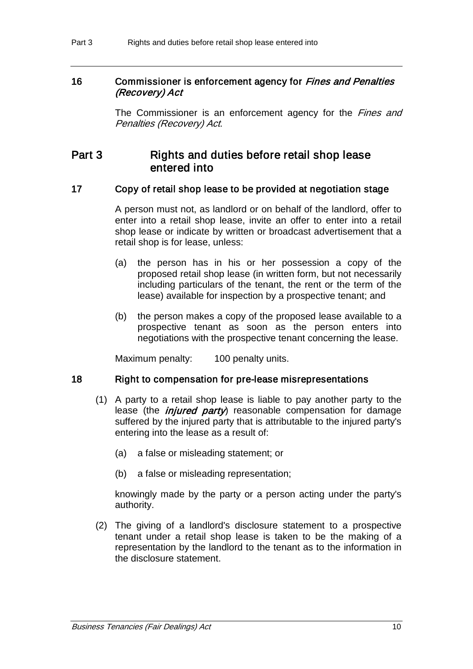Part 3 Rights and duties before retail shop lease entered into

### 16 Commissioner is enforcement agency for Fines and Penalties (Recovery) Act

The Commissioner is an enforcement agency for the *Fines and* Penalties (Recovery) Act.

## Part 3 Rights and duties before retail shop lease entered into

### 17 Copy of retail shop lease to be provided at negotiation stage

A person must not, as landlord or on behalf of the landlord, offer to enter into a retail shop lease, invite an offer to enter into a retail shop lease or indicate by written or broadcast advertisement that a retail shop is for lease, unless:

- (a) the person has in his or her possession a copy of the proposed retail shop lease (in written form, but not necessarily including particulars of the tenant, the rent or the term of the lease) available for inspection by a prospective tenant; and
- (b) the person makes a copy of the proposed lease available to a prospective tenant as soon as the person enters into negotiations with the prospective tenant concerning the lease.

Maximum penalty: 100 penalty units.

### 18 Right to compensation for pre-lease misrepresentations

- (1) A party to a retail shop lease is liable to pay another party to the lease (the *injured party*) reasonable compensation for damage suffered by the injured party that is attributable to the injured party's entering into the lease as a result of:
	- (a) a false or misleading statement; or
	- (b) a false or misleading representation;

knowingly made by the party or a person acting under the party's authority.

(2) The giving of a landlord's disclosure statement to a prospective tenant under a retail shop lease is taken to be the making of a representation by the landlord to the tenant as to the information in the disclosure statement.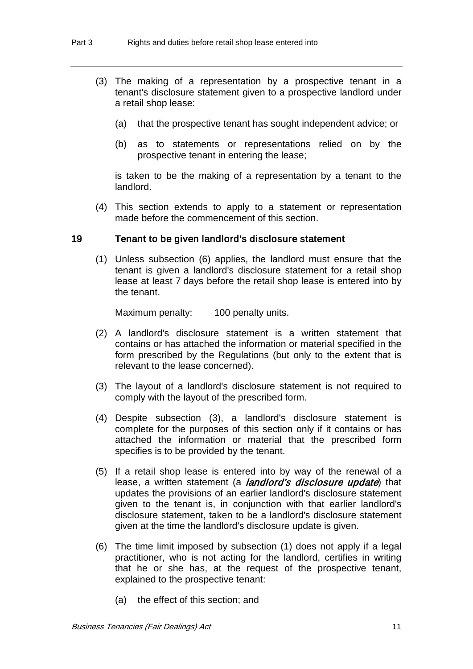- (3) The making of a representation by a prospective tenant in a tenant's disclosure statement given to a prospective landlord under a retail shop lease:
	- (a) that the prospective tenant has sought independent advice; or
	- (b) as to statements or representations relied on by the prospective tenant in entering the lease;

is taken to be the making of a representation by a tenant to the landlord.

(4) This section extends to apply to a statement or representation made before the commencement of this section.

### 19 Tenant to be given landlord's disclosure statement

(1) Unless subsection (6) applies, the landlord must ensure that the tenant is given a landlord's disclosure statement for a retail shop lease at least 7 days before the retail shop lease is entered into by the tenant.

Maximum penalty: 100 penalty units.

- (2) A landlord's disclosure statement is a written statement that contains or has attached the information or material specified in the form prescribed by the Regulations (but only to the extent that is relevant to the lease concerned).
- (3) The layout of a landlord's disclosure statement is not required to comply with the layout of the prescribed form.
- (4) Despite subsection (3), a landlord's disclosure statement is complete for the purposes of this section only if it contains or has attached the information or material that the prescribed form specifies is to be provided by the tenant.
- (5) If a retail shop lease is entered into by way of the renewal of a lease, a written statement (a *landlord's disclosure update*) that updates the provisions of an earlier landlord's disclosure statement given to the tenant is, in conjunction with that earlier landlord's disclosure statement, taken to be a landlord's disclosure statement given at the time the landlord's disclosure update is given.
- (6) The time limit imposed by subsection (1) does not apply if a legal practitioner, who is not acting for the landlord, certifies in writing that he or she has, at the request of the prospective tenant, explained to the prospective tenant:
	- (a) the effect of this section; and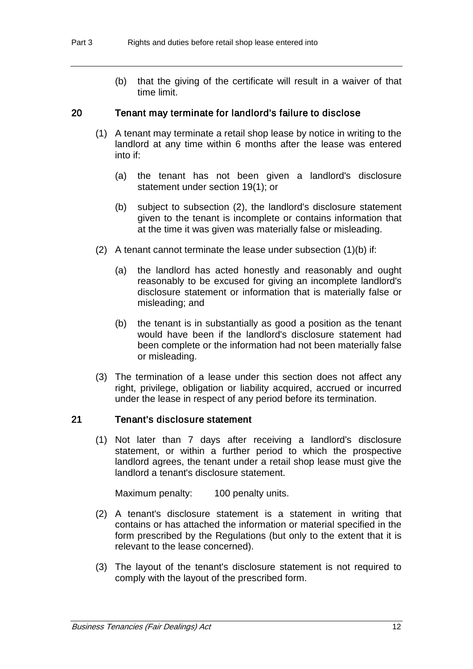(b) that the giving of the certificate will result in a waiver of that time limit.

#### 20 Tenant may terminate for landlord's failure to disclose

- (1) A tenant may terminate a retail shop lease by notice in writing to the landlord at any time within 6 months after the lease was entered into if:
	- (a) the tenant has not been given a landlord's disclosure statement under section 19(1); or
	- (b) subject to subsection (2), the landlord's disclosure statement given to the tenant is incomplete or contains information that at the time it was given was materially false or misleading.
- (2) A tenant cannot terminate the lease under subsection  $(1)(b)$  if:
	- (a) the landlord has acted honestly and reasonably and ought reasonably to be excused for giving an incomplete landlord's disclosure statement or information that is materially false or misleading; and
	- (b) the tenant is in substantially as good a position as the tenant would have been if the landlord's disclosure statement had been complete or the information had not been materially false or misleading.
- (3) The termination of a lease under this section does not affect any right, privilege, obligation or liability acquired, accrued or incurred under the lease in respect of any period before its termination.

### 21 Tenant's disclosure statement

(1) Not later than 7 days after receiving a landlord's disclosure statement, or within a further period to which the prospective landlord agrees, the tenant under a retail shop lease must give the landlord a tenant's disclosure statement.

Maximum penalty: 100 penalty units.

- (2) A tenant's disclosure statement is a statement in writing that contains or has attached the information or material specified in the form prescribed by the Regulations (but only to the extent that it is relevant to the lease concerned).
- (3) The layout of the tenant's disclosure statement is not required to comply with the layout of the prescribed form.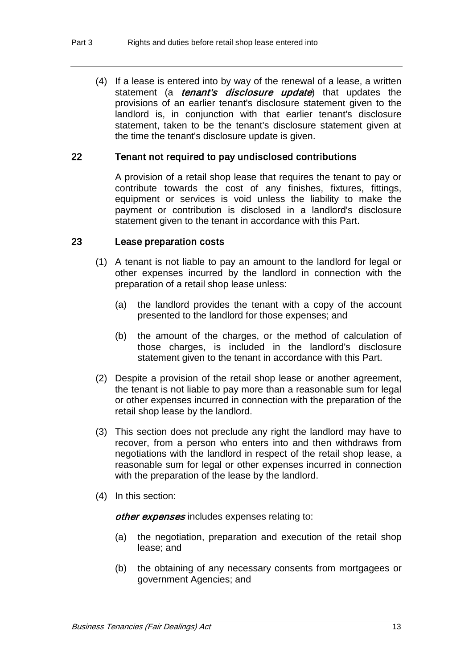(4) If a lease is entered into by way of the renewal of a lease, a written statement (a *tenant's disclosure update*) that updates the provisions of an earlier tenant's disclosure statement given to the landlord is, in conjunction with that earlier tenant's disclosure statement, taken to be the tenant's disclosure statement given at the time the tenant's disclosure update is given.

### 22 Tenant not required to pay undisclosed contributions

A provision of a retail shop lease that requires the tenant to pay or contribute towards the cost of any finishes, fixtures, fittings, equipment or services is void unless the liability to make the payment or contribution is disclosed in a landlord's disclosure statement given to the tenant in accordance with this Part.

#### 23 Lease preparation costs

- (1) A tenant is not liable to pay an amount to the landlord for legal or other expenses incurred by the landlord in connection with the preparation of a retail shop lease unless:
	- (a) the landlord provides the tenant with a copy of the account presented to the landlord for those expenses; and
	- (b) the amount of the charges, or the method of calculation of those charges, is included in the landlord's disclosure statement given to the tenant in accordance with this Part.
- (2) Despite a provision of the retail shop lease or another agreement, the tenant is not liable to pay more than a reasonable sum for legal or other expenses incurred in connection with the preparation of the retail shop lease by the landlord.
- (3) This section does not preclude any right the landlord may have to recover, from a person who enters into and then withdraws from negotiations with the landlord in respect of the retail shop lease, a reasonable sum for legal or other expenses incurred in connection with the preparation of the lease by the landlord.
- (4) In this section:

other expenses includes expenses relating to:

- (a) the negotiation, preparation and execution of the retail shop lease; and
- (b) the obtaining of any necessary consents from mortgagees or government Agencies; and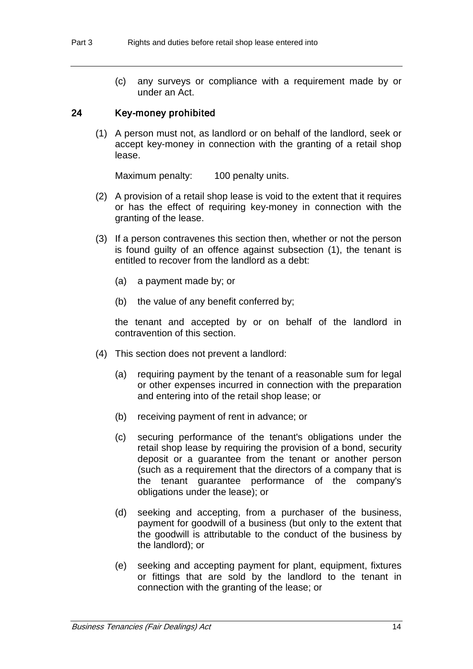(c) any surveys or compliance with a requirement made by or under an Act.

#### 24 Key-money prohibited

(1) A person must not, as landlord or on behalf of the landlord, seek or accept key-money in connection with the granting of a retail shop lease.

Maximum penalty: 100 penalty units.

- (2) A provision of a retail shop lease is void to the extent that it requires or has the effect of requiring key-money in connection with the granting of the lease.
- (3) If a person contravenes this section then, whether or not the person is found guilty of an offence against subsection (1), the tenant is entitled to recover from the landlord as a debt:
	- (a) a payment made by; or
	- (b) the value of any benefit conferred by;

the tenant and accepted by or on behalf of the landlord in contravention of this section.

- (4) This section does not prevent a landlord:
	- (a) requiring payment by the tenant of a reasonable sum for legal or other expenses incurred in connection with the preparation and entering into of the retail shop lease; or
	- (b) receiving payment of rent in advance; or
	- (c) securing performance of the tenant's obligations under the retail shop lease by requiring the provision of a bond, security deposit or a guarantee from the tenant or another person (such as a requirement that the directors of a company that is the tenant guarantee performance of the company's obligations under the lease); or
	- (d) seeking and accepting, from a purchaser of the business, payment for goodwill of a business (but only to the extent that the goodwill is attributable to the conduct of the business by the landlord); or
	- (e) seeking and accepting payment for plant, equipment, fixtures or fittings that are sold by the landlord to the tenant in connection with the granting of the lease; or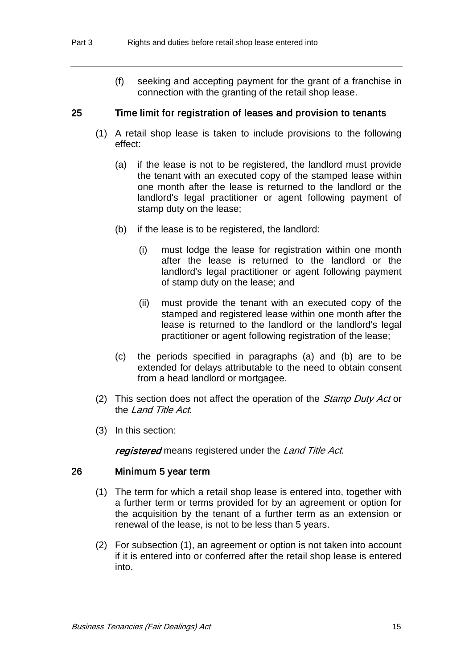(f) seeking and accepting payment for the grant of a franchise in connection with the granting of the retail shop lease.

### 25 Time limit for registration of leases and provision to tenants

- (1) A retail shop lease is taken to include provisions to the following effect:
	- (a) if the lease is not to be registered, the landlord must provide the tenant with an executed copy of the stamped lease within one month after the lease is returned to the landlord or the landlord's legal practitioner or agent following payment of stamp duty on the lease;
	- (b) if the lease is to be registered, the landlord:
		- (i) must lodge the lease for registration within one month after the lease is returned to the landlord or the landlord's legal practitioner or agent following payment of stamp duty on the lease; and
		- (ii) must provide the tenant with an executed copy of the stamped and registered lease within one month after the lease is returned to the landlord or the landlord's legal practitioner or agent following registration of the lease;
	- (c) the periods specified in paragraphs (a) and (b) are to be extended for delays attributable to the need to obtain consent from a head landlord or mortgagee.
- (2) This section does not affect the operation of the *Stamp Duty Act* or the Land Title Act.
- (3) In this section:

registered means registered under the Land Title Act.

### 26 Minimum 5 year term

- (1) The term for which a retail shop lease is entered into, together with a further term or terms provided for by an agreement or option for the acquisition by the tenant of a further term as an extension or renewal of the lease, is not to be less than 5 years.
- (2) For subsection (1), an agreement or option is not taken into account if it is entered into or conferred after the retail shop lease is entered into.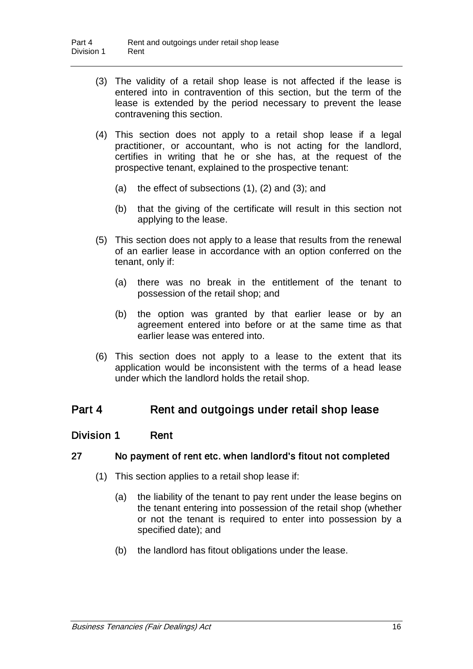- (3) The validity of a retail shop lease is not affected if the lease is entered into in contravention of this section, but the term of the lease is extended by the period necessary to prevent the lease contravening this section.
- (4) This section does not apply to a retail shop lease if a legal practitioner, or accountant, who is not acting for the landlord, certifies in writing that he or she has, at the request of the prospective tenant, explained to the prospective tenant:
	- (a) the effect of subsections (1), (2) and (3); and
	- (b) that the giving of the certificate will result in this section not applying to the lease.
- (5) This section does not apply to a lease that results from the renewal of an earlier lease in accordance with an option conferred on the tenant, only if:
	- (a) there was no break in the entitlement of the tenant to possession of the retail shop; and
	- (b) the option was granted by that earlier lease or by an agreement entered into before or at the same time as that earlier lease was entered into.
- (6) This section does not apply to a lease to the extent that its application would be inconsistent with the terms of a head lease under which the landlord holds the retail shop.

## Part 4 Rent and outgoings under retail shop lease

### Division 1 Rent

### 27 No payment of rent etc. when landlord's fitout not completed

- (1) This section applies to a retail shop lease if:
	- (a) the liability of the tenant to pay rent under the lease begins on the tenant entering into possession of the retail shop (whether or not the tenant is required to enter into possession by a specified date); and
	- (b) the landlord has fitout obligations under the lease.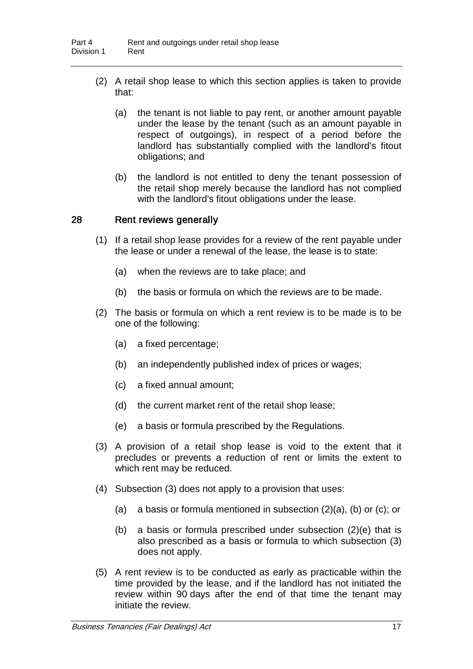- (2) A retail shop lease to which this section applies is taken to provide that:
	- (a) the tenant is not liable to pay rent, or another amount payable under the lease by the tenant (such as an amount payable in respect of outgoings), in respect of a period before the landlord has substantially complied with the landlord's fitout obligations; and
	- (b) the landlord is not entitled to deny the tenant possession of the retail shop merely because the landlord has not complied with the landlord's fitout obligations under the lease.

### 28 Rent reviews generally

- (1) If a retail shop lease provides for a review of the rent payable under the lease or under a renewal of the lease, the lease is to state:
	- (a) when the reviews are to take place; and
	- (b) the basis or formula on which the reviews are to be made.
- (2) The basis or formula on which a rent review is to be made is to be one of the following:
	- (a) a fixed percentage;
	- (b) an independently published index of prices or wages;
	- (c) a fixed annual amount;
	- (d) the current market rent of the retail shop lease;
	- (e) a basis or formula prescribed by the Regulations.
- (3) A provision of a retail shop lease is void to the extent that it precludes or prevents a reduction of rent or limits the extent to which rent may be reduced.
- (4) Subsection (3) does not apply to a provision that uses:
	- (a) a basis or formula mentioned in subsection (2)(a), (b) or (c); or
	- (b) a basis or formula prescribed under subsection (2)(e) that is also prescribed as a basis or formula to which subsection (3) does not apply.
- (5) A rent review is to be conducted as early as practicable within the time provided by the lease, and if the landlord has not initiated the review within 90 days after the end of that time the tenant may initiate the review.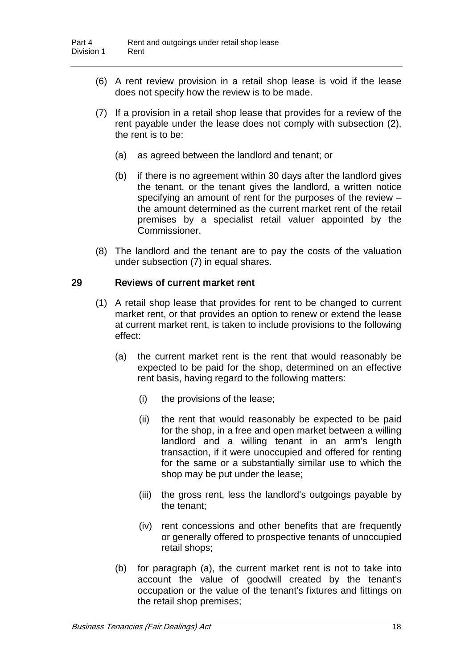- (6) A rent review provision in a retail shop lease is void if the lease does not specify how the review is to be made.
- (7) If a provision in a retail shop lease that provides for a review of the rent payable under the lease does not comply with subsection (2), the rent is to be:
	- (a) as agreed between the landlord and tenant; or
	- (b) if there is no agreement within 30 days after the landlord gives the tenant, or the tenant gives the landlord, a written notice specifying an amount of rent for the purposes of the review – the amount determined as the current market rent of the retail premises by a specialist retail valuer appointed by the Commissioner.
- (8) The landlord and the tenant are to pay the costs of the valuation under subsection (7) in equal shares.

### 29 Reviews of current market rent

- (1) A retail shop lease that provides for rent to be changed to current market rent, or that provides an option to renew or extend the lease at current market rent, is taken to include provisions to the following effect:
	- (a) the current market rent is the rent that would reasonably be expected to be paid for the shop, determined on an effective rent basis, having regard to the following matters:
		- (i) the provisions of the lease;
		- (ii) the rent that would reasonably be expected to be paid for the shop, in a free and open market between a willing landlord and a willing tenant in an arm's length transaction, if it were unoccupied and offered for renting for the same or a substantially similar use to which the shop may be put under the lease;
		- (iii) the gross rent, less the landlord's outgoings payable by the tenant;
		- (iv) rent concessions and other benefits that are frequently or generally offered to prospective tenants of unoccupied retail shops;
	- (b) for paragraph (a), the current market rent is not to take into account the value of goodwill created by the tenant's occupation or the value of the tenant's fixtures and fittings on the retail shop premises;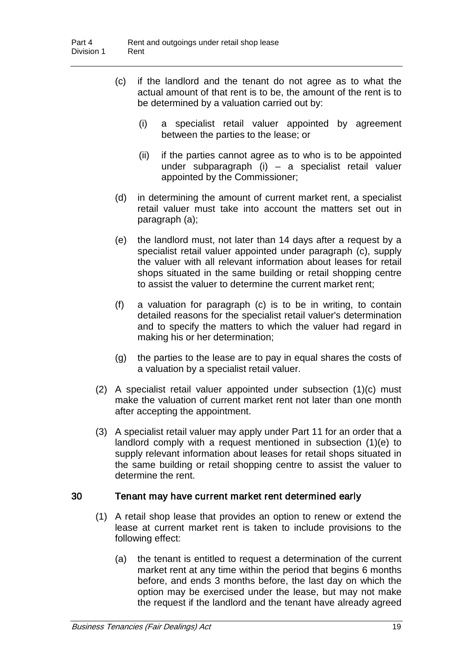- (c) if the landlord and the tenant do not agree as to what the actual amount of that rent is to be, the amount of the rent is to be determined by a valuation carried out by:
	- (i) a specialist retail valuer appointed by agreement between the parties to the lease; or
	- (ii) if the parties cannot agree as to who is to be appointed under subparagraph (i) – a specialist retail valuer appointed by the Commissioner;
- (d) in determining the amount of current market rent, a specialist retail valuer must take into account the matters set out in paragraph (a);
- (e) the landlord must, not later than 14 days after a request by a specialist retail valuer appointed under paragraph (c), supply the valuer with all relevant information about leases for retail shops situated in the same building or retail shopping centre to assist the valuer to determine the current market rent;
- (f) a valuation for paragraph (c) is to be in writing, to contain detailed reasons for the specialist retail valuer's determination and to specify the matters to which the valuer had regard in making his or her determination;
- (g) the parties to the lease are to pay in equal shares the costs of a valuation by a specialist retail valuer.
- (2) A specialist retail valuer appointed under subsection (1)(c) must make the valuation of current market rent not later than one month after accepting the appointment.
- (3) A specialist retail valuer may apply under Part 11 for an order that a landlord comply with a request mentioned in subsection (1)(e) to supply relevant information about leases for retail shops situated in the same building or retail shopping centre to assist the valuer to determine the rent.

### 30 Tenant may have current market rent determined early

- (1) A retail shop lease that provides an option to renew or extend the lease at current market rent is taken to include provisions to the following effect:
	- (a) the tenant is entitled to request a determination of the current market rent at any time within the period that begins 6 months before, and ends 3 months before, the last day on which the option may be exercised under the lease, but may not make the request if the landlord and the tenant have already agreed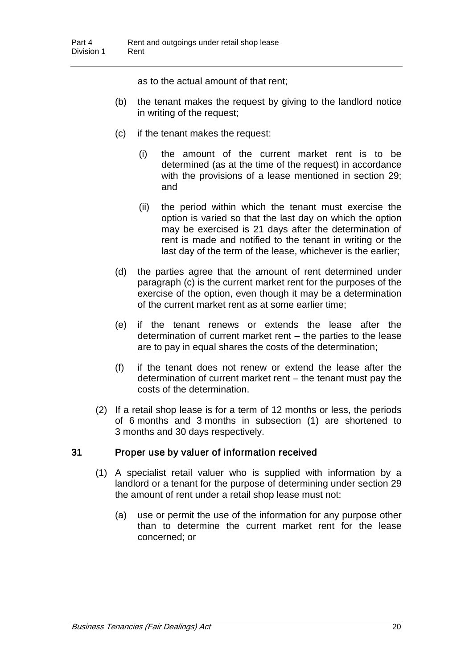as to the actual amount of that rent;

- (b) the tenant makes the request by giving to the landlord notice in writing of the request;
- (c) if the tenant makes the request:
	- (i) the amount of the current market rent is to be determined (as at the time of the request) in accordance with the provisions of a lease mentioned in section 29; and
	- (ii) the period within which the tenant must exercise the option is varied so that the last day on which the option may be exercised is 21 days after the determination of rent is made and notified to the tenant in writing or the last day of the term of the lease, whichever is the earlier;
- (d) the parties agree that the amount of rent determined under paragraph (c) is the current market rent for the purposes of the exercise of the option, even though it may be a determination of the current market rent as at some earlier time;
- (e) if the tenant renews or extends the lease after the determination of current market rent – the parties to the lease are to pay in equal shares the costs of the determination;
- (f) if the tenant does not renew or extend the lease after the determination of current market rent – the tenant must pay the costs of the determination.
- (2) If a retail shop lease is for a term of 12 months or less, the periods of 6 months and 3 months in subsection (1) are shortened to 3 months and 30 days respectively.

### 31 Proper use by valuer of information received

- (1) A specialist retail valuer who is supplied with information by a landlord or a tenant for the purpose of determining under section 29 the amount of rent under a retail shop lease must not:
	- (a) use or permit the use of the information for any purpose other than to determine the current market rent for the lease concerned; or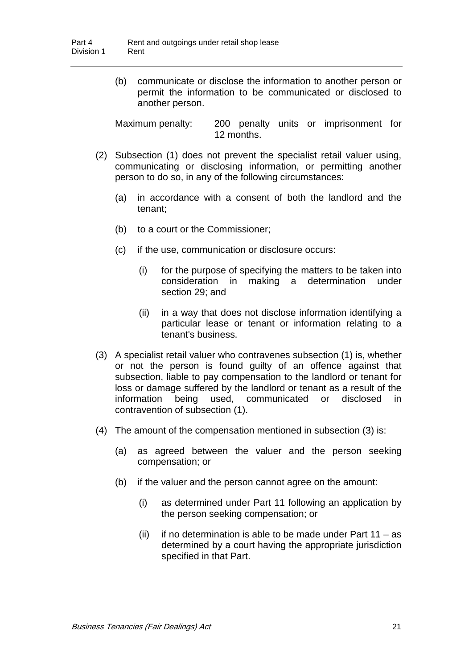(b) communicate or disclose the information to another person or permit the information to be communicated or disclosed to another person.

Maximum penalty: 200 penalty units or imprisonment for 12 months.

- (2) Subsection (1) does not prevent the specialist retail valuer using, communicating or disclosing information, or permitting another person to do so, in any of the following circumstances:
	- (a) in accordance with a consent of both the landlord and the tenant;
	- (b) to a court or the Commissioner;
	- (c) if the use, communication or disclosure occurs:
		- (i) for the purpose of specifying the matters to be taken into consideration in making a determination under section 29; and
		- (ii) in a way that does not disclose information identifying a particular lease or tenant or information relating to a tenant's business.
- (3) A specialist retail valuer who contravenes subsection (1) is, whether or not the person is found guilty of an offence against that subsection, liable to pay compensation to the landlord or tenant for loss or damage suffered by the landlord or tenant as a result of the information being used, communicated or disclosed in contravention of subsection (1).
- (4) The amount of the compensation mentioned in subsection (3) is:
	- (a) as agreed between the valuer and the person seeking compensation; or
	- (b) if the valuer and the person cannot agree on the amount:
		- (i) as determined under Part 11 following an application by the person seeking compensation; or
		- (ii) if no determination is able to be made under Part  $11 as$ determined by a court having the appropriate jurisdiction specified in that Part.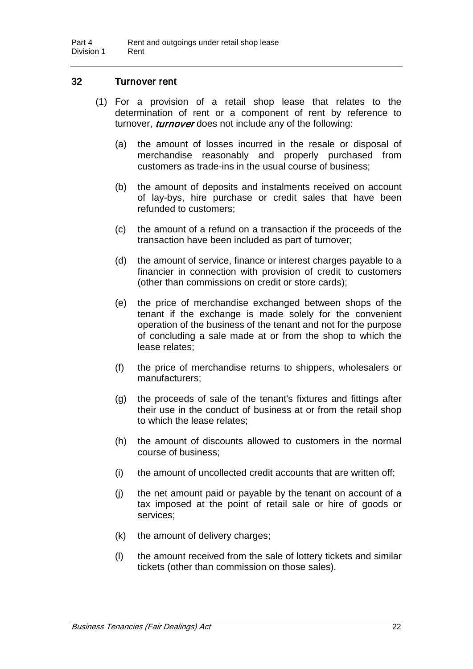### 32 Turnover rent

- (1) For a provision of a retail shop lease that relates to the determination of rent or a component of rent by reference to turnover, *turnover* does not include any of the following:
	- (a) the amount of losses incurred in the resale or disposal of merchandise reasonably and properly purchased from customers as trade-ins in the usual course of business;
	- (b) the amount of deposits and instalments received on account of lay-bys, hire purchase or credit sales that have been refunded to customers;
	- (c) the amount of a refund on a transaction if the proceeds of the transaction have been included as part of turnover;
	- (d) the amount of service, finance or interest charges payable to a financier in connection with provision of credit to customers (other than commissions on credit or store cards);
	- (e) the price of merchandise exchanged between shops of the tenant if the exchange is made solely for the convenient operation of the business of the tenant and not for the purpose of concluding a sale made at or from the shop to which the lease relates;
	- (f) the price of merchandise returns to shippers, wholesalers or manufacturers;
	- (g) the proceeds of sale of the tenant's fixtures and fittings after their use in the conduct of business at or from the retail shop to which the lease relates;
	- (h) the amount of discounts allowed to customers in the normal course of business;
	- (i) the amount of uncollected credit accounts that are written off;
	- (j) the net amount paid or payable by the tenant on account of a tax imposed at the point of retail sale or hire of goods or services;
	- (k) the amount of delivery charges;
	- (l) the amount received from the sale of lottery tickets and similar tickets (other than commission on those sales).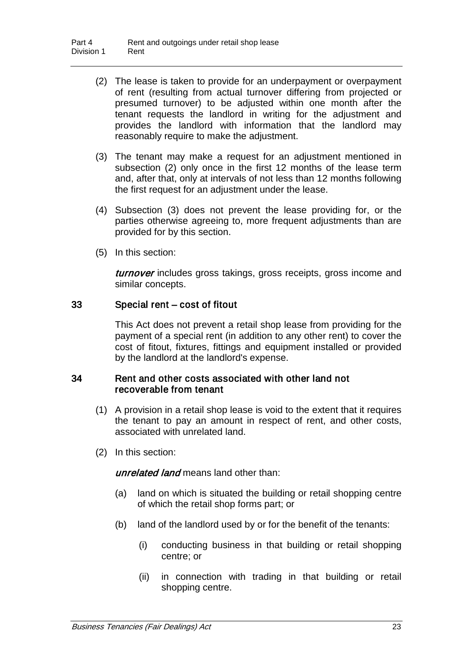- (2) The lease is taken to provide for an underpayment or overpayment of rent (resulting from actual turnover differing from projected or presumed turnover) to be adjusted within one month after the tenant requests the landlord in writing for the adjustment and provides the landlord with information that the landlord may reasonably require to make the adjustment.
- (3) The tenant may make a request for an adjustment mentioned in subsection (2) only once in the first 12 months of the lease term and, after that, only at intervals of not less than 12 months following the first request for an adjustment under the lease.
- (4) Subsection (3) does not prevent the lease providing for, or the parties otherwise agreeing to, more frequent adjustments than are provided for by this section.
- (5) In this section:

turnover includes gross takings, gross receipts, gross income and similar concepts.

### 33 Special rent – cost of fitout

This Act does not prevent a retail shop lease from providing for the payment of a special rent (in addition to any other rent) to cover the cost of fitout, fixtures, fittings and equipment installed or provided by the landlord at the landlord's expense.

### 34 Rent and other costs associated with other land not recoverable from tenant

- (1) A provision in a retail shop lease is void to the extent that it requires the tenant to pay an amount in respect of rent, and other costs, associated with unrelated land.
- (2) In this section:

### unrelated land means land other than:

- (a) land on which is situated the building or retail shopping centre of which the retail shop forms part; or
- (b) land of the landlord used by or for the benefit of the tenants:
	- (i) conducting business in that building or retail shopping centre; or
	- (ii) in connection with trading in that building or retail shopping centre.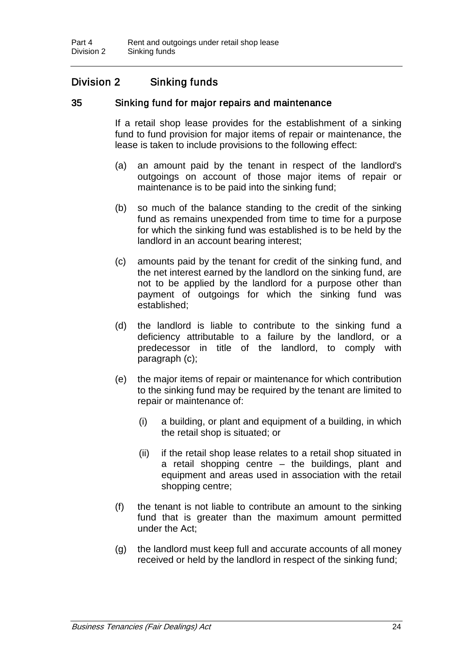## Division 2 Sinking funds

### 35 Sinking fund for major repairs and maintenance

If a retail shop lease provides for the establishment of a sinking fund to fund provision for major items of repair or maintenance, the lease is taken to include provisions to the following effect:

- (a) an amount paid by the tenant in respect of the landlord's outgoings on account of those major items of repair or maintenance is to be paid into the sinking fund;
- (b) so much of the balance standing to the credit of the sinking fund as remains unexpended from time to time for a purpose for which the sinking fund was established is to be held by the landlord in an account bearing interest;
- (c) amounts paid by the tenant for credit of the sinking fund, and the net interest earned by the landlord on the sinking fund, are not to be applied by the landlord for a purpose other than payment of outgoings for which the sinking fund was established;
- (d) the landlord is liable to contribute to the sinking fund a deficiency attributable to a failure by the landlord, or a predecessor in title of the landlord, to comply with paragraph (c);
- (e) the major items of repair or maintenance for which contribution to the sinking fund may be required by the tenant are limited to repair or maintenance of:
	- (i) a building, or plant and equipment of a building, in which the retail shop is situated; or
	- (ii) if the retail shop lease relates to a retail shop situated in a retail shopping centre – the buildings, plant and equipment and areas used in association with the retail shopping centre;
- (f) the tenant is not liable to contribute an amount to the sinking fund that is greater than the maximum amount permitted under the Act;
- (g) the landlord must keep full and accurate accounts of all money received or held by the landlord in respect of the sinking fund;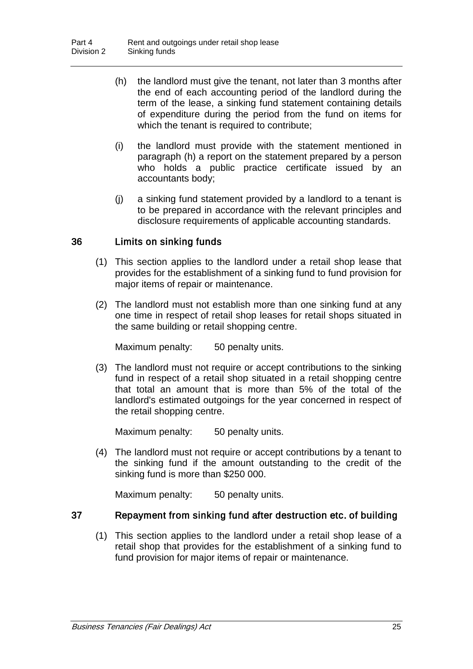- (h) the landlord must give the tenant, not later than 3 months after the end of each accounting period of the landlord during the term of the lease, a sinking fund statement containing details of expenditure during the period from the fund on items for which the tenant is required to contribute;
- (i) the landlord must provide with the statement mentioned in paragraph (h) a report on the statement prepared by a person who holds a public practice certificate issued by an accountants body;
- (j) a sinking fund statement provided by a landlord to a tenant is to be prepared in accordance with the relevant principles and disclosure requirements of applicable accounting standards.

### 36 Limits on sinking funds

- (1) This section applies to the landlord under a retail shop lease that provides for the establishment of a sinking fund to fund provision for major items of repair or maintenance.
- (2) The landlord must not establish more than one sinking fund at any one time in respect of retail shop leases for retail shops situated in the same building or retail shopping centre.

Maximum penalty: 50 penalty units.

(3) The landlord must not require or accept contributions to the sinking fund in respect of a retail shop situated in a retail shopping centre that total an amount that is more than 5% of the total of the landlord's estimated outgoings for the year concerned in respect of the retail shopping centre.

Maximum penalty: 50 penalty units.

(4) The landlord must not require or accept contributions by a tenant to the sinking fund if the amount outstanding to the credit of the sinking fund is more than \$250 000.

Maximum penalty: 50 penalty units.

### 37 Repayment from sinking fund after destruction etc. of building

(1) This section applies to the landlord under a retail shop lease of a retail shop that provides for the establishment of a sinking fund to fund provision for major items of repair or maintenance.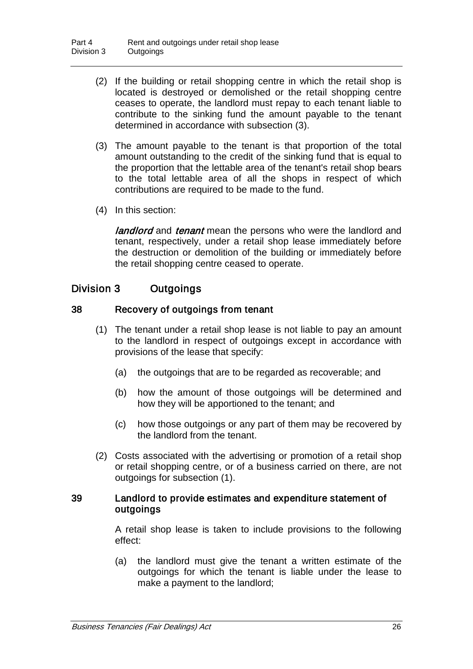- (2) If the building or retail shopping centre in which the retail shop is located is destroyed or demolished or the retail shopping centre ceases to operate, the landlord must repay to each tenant liable to contribute to the sinking fund the amount payable to the tenant determined in accordance with subsection (3).
- (3) The amount payable to the tenant is that proportion of the total amount outstanding to the credit of the sinking fund that is equal to the proportion that the lettable area of the tenant's retail shop bears to the total lettable area of all the shops in respect of which contributions are required to be made to the fund.
- (4) In this section:

landlord and tenant mean the persons who were the landlord and tenant, respectively, under a retail shop lease immediately before the destruction or demolition of the building or immediately before the retail shopping centre ceased to operate.

### Division 3 Outgoings

### 38 Recovery of outgoings from tenant

- (1) The tenant under a retail shop lease is not liable to pay an amount to the landlord in respect of outgoings except in accordance with provisions of the lease that specify:
	- (a) the outgoings that are to be regarded as recoverable; and
	- (b) how the amount of those outgoings will be determined and how they will be apportioned to the tenant; and
	- (c) how those outgoings or any part of them may be recovered by the landlord from the tenant.
- (2) Costs associated with the advertising or promotion of a retail shop or retail shopping centre, or of a business carried on there, are not outgoings for subsection (1).

### 39 Landlord to provide estimates and expenditure statement of outgoings

A retail shop lease is taken to include provisions to the following effect:

(a) the landlord must give the tenant a written estimate of the outgoings for which the tenant is liable under the lease to make a payment to the landlord;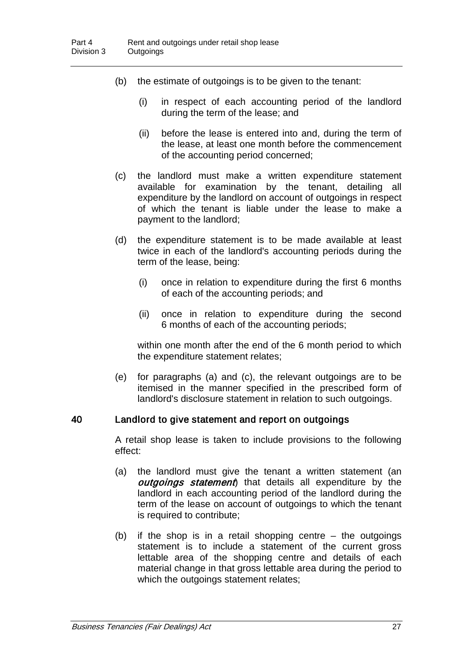- (b) the estimate of outgoings is to be given to the tenant:
	- (i) in respect of each accounting period of the landlord during the term of the lease; and
	- (ii) before the lease is entered into and, during the term of the lease, at least one month before the commencement of the accounting period concerned;
- (c) the landlord must make a written expenditure statement available for examination by the tenant, detailing all expenditure by the landlord on account of outgoings in respect of which the tenant is liable under the lease to make a payment to the landlord;
- (d) the expenditure statement is to be made available at least twice in each of the landlord's accounting periods during the term of the lease, being:
	- (i) once in relation to expenditure during the first 6 months of each of the accounting periods; and
	- (ii) once in relation to expenditure during the second 6 months of each of the accounting periods;

within one month after the end of the 6 month period to which the expenditure statement relates;

(e) for paragraphs (a) and (c), the relevant outgoings are to be itemised in the manner specified in the prescribed form of landlord's disclosure statement in relation to such outgoings.

### 40 Landlord to give statement and report on outgoings

A retail shop lease is taken to include provisions to the following effect:

- (a) the landlord must give the tenant a written statement (an outgoings statement) that details all expenditure by the landlord in each accounting period of the landlord during the term of the lease on account of outgoings to which the tenant is required to contribute;
- (b) if the shop is in a retail shopping centre the outgoings statement is to include a statement of the current gross lettable area of the shopping centre and details of each material change in that gross lettable area during the period to which the outgoings statement relates;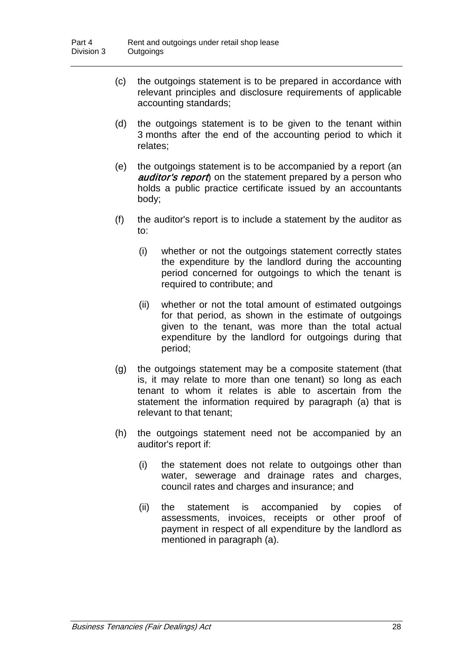- (c) the outgoings statement is to be prepared in accordance with relevant principles and disclosure requirements of applicable accounting standards;
- (d) the outgoings statement is to be given to the tenant within 3 months after the end of the accounting period to which it relates;
- (e) the outgoings statement is to be accompanied by a report (an auditor's report) on the statement prepared by a person who holds a public practice certificate issued by an accountants body;
- (f) the auditor's report is to include a statement by the auditor as to:
	- (i) whether or not the outgoings statement correctly states the expenditure by the landlord during the accounting period concerned for outgoings to which the tenant is required to contribute; and
	- (ii) whether or not the total amount of estimated outgoings for that period, as shown in the estimate of outgoings given to the tenant, was more than the total actual expenditure by the landlord for outgoings during that period;
- (g) the outgoings statement may be a composite statement (that is, it may relate to more than one tenant) so long as each tenant to whom it relates is able to ascertain from the statement the information required by paragraph (a) that is relevant to that tenant;
- (h) the outgoings statement need not be accompanied by an auditor's report if:
	- (i) the statement does not relate to outgoings other than water, sewerage and drainage rates and charges, council rates and charges and insurance; and
	- (ii) the statement is accompanied by copies of assessments, invoices, receipts or other proof of payment in respect of all expenditure by the landlord as mentioned in paragraph (a).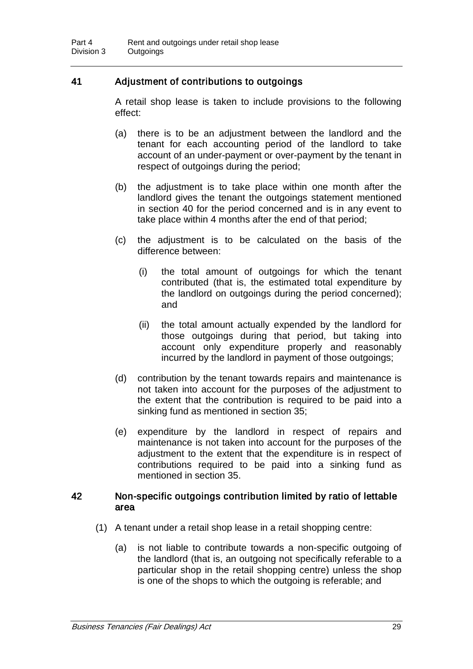### 41 Adjustment of contributions to outgoings

A retail shop lease is taken to include provisions to the following effect:

- (a) there is to be an adjustment between the landlord and the tenant for each accounting period of the landlord to take account of an under-payment or over-payment by the tenant in respect of outgoings during the period;
- (b) the adjustment is to take place within one month after the landlord gives the tenant the outgoings statement mentioned in section 40 for the period concerned and is in any event to take place within 4 months after the end of that period;
- (c) the adjustment is to be calculated on the basis of the difference between:
	- (i) the total amount of outgoings for which the tenant contributed (that is, the estimated total expenditure by the landlord on outgoings during the period concerned); and
	- (ii) the total amount actually expended by the landlord for those outgoings during that period, but taking into account only expenditure properly and reasonably incurred by the landlord in payment of those outgoings;
- (d) contribution by the tenant towards repairs and maintenance is not taken into account for the purposes of the adjustment to the extent that the contribution is required to be paid into a sinking fund as mentioned in section 35;
- (e) expenditure by the landlord in respect of repairs and maintenance is not taken into account for the purposes of the adjustment to the extent that the expenditure is in respect of contributions required to be paid into a sinking fund as mentioned in section 35.

### 42 Non-specific outgoings contribution limited by ratio of lettable area

- (1) A tenant under a retail shop lease in a retail shopping centre:
	- (a) is not liable to contribute towards a non-specific outgoing of the landlord (that is, an outgoing not specifically referable to a particular shop in the retail shopping centre) unless the shop is one of the shops to which the outgoing is referable; and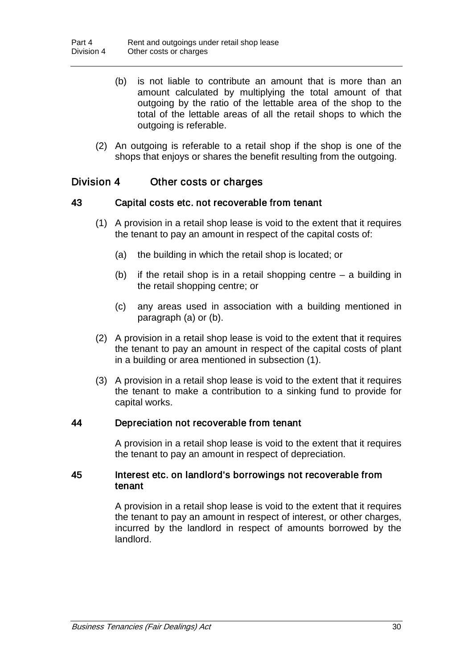- (b) is not liable to contribute an amount that is more than an amount calculated by multiplying the total amount of that outgoing by the ratio of the lettable area of the shop to the total of the lettable areas of all the retail shops to which the outgoing is referable.
- (2) An outgoing is referable to a retail shop if the shop is one of the shops that enjoys or shares the benefit resulting from the outgoing.

### Division 4 Other costs or charges

### 43 Capital costs etc. not recoverable from tenant

- (1) A provision in a retail shop lease is void to the extent that it requires the tenant to pay an amount in respect of the capital costs of:
	- (a) the building in which the retail shop is located; or
	- (b) if the retail shop is in a retail shopping centre  $-$  a building in the retail shopping centre; or
	- (c) any areas used in association with a building mentioned in paragraph (a) or (b).
- (2) A provision in a retail shop lease is void to the extent that it requires the tenant to pay an amount in respect of the capital costs of plant in a building or area mentioned in subsection (1).
- (3) A provision in a retail shop lease is void to the extent that it requires the tenant to make a contribution to a sinking fund to provide for capital works.

### 44 Depreciation not recoverable from tenant

A provision in a retail shop lease is void to the extent that it requires the tenant to pay an amount in respect of depreciation.

### 45 Interest etc. on landlord's borrowings not recoverable from tenant

A provision in a retail shop lease is void to the extent that it requires the tenant to pay an amount in respect of interest, or other charges, incurred by the landlord in respect of amounts borrowed by the landlord.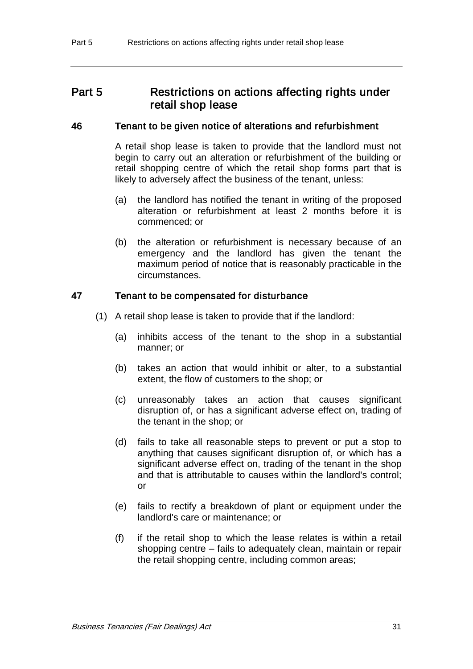# Part 5 Restrictions on actions affecting rights under retail shop lease

## 46 Tenant to be given notice of alterations and refurbishment

A retail shop lease is taken to provide that the landlord must not begin to carry out an alteration or refurbishment of the building or retail shopping centre of which the retail shop forms part that is likely to adversely affect the business of the tenant, unless:

- (a) the landlord has notified the tenant in writing of the proposed alteration or refurbishment at least 2 months before it is commenced; or
- (b) the alteration or refurbishment is necessary because of an emergency and the landlord has given the tenant the maximum period of notice that is reasonably practicable in the circumstances.

# 47 Tenant to be compensated for disturbance

- (1) A retail shop lease is taken to provide that if the landlord:
	- (a) inhibits access of the tenant to the shop in a substantial manner; or
	- (b) takes an action that would inhibit or alter, to a substantial extent, the flow of customers to the shop; or
	- (c) unreasonably takes an action that causes significant disruption of, or has a significant adverse effect on, trading of the tenant in the shop; or
	- (d) fails to take all reasonable steps to prevent or put a stop to anything that causes significant disruption of, or which has a significant adverse effect on, trading of the tenant in the shop and that is attributable to causes within the landlord's control; or
	- (e) fails to rectify a breakdown of plant or equipment under the landlord's care or maintenance; or
	- (f) if the retail shop to which the lease relates is within a retail shopping centre – fails to adequately clean, maintain or repair the retail shopping centre, including common areas;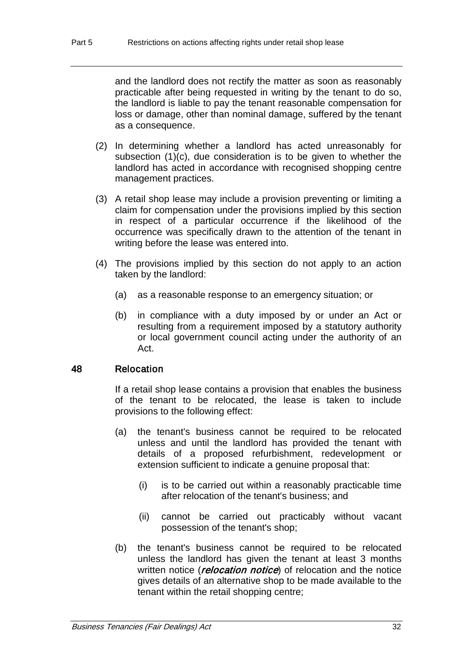and the landlord does not rectify the matter as soon as reasonably practicable after being requested in writing by the tenant to do so, the landlord is liable to pay the tenant reasonable compensation for loss or damage, other than nominal damage, suffered by the tenant as a consequence.

- (2) In determining whether a landlord has acted unreasonably for subsection (1)(c), due consideration is to be given to whether the landlord has acted in accordance with recognised shopping centre management practices.
- (3) A retail shop lease may include a provision preventing or limiting a claim for compensation under the provisions implied by this section in respect of a particular occurrence if the likelihood of the occurrence was specifically drawn to the attention of the tenant in writing before the lease was entered into.
- (4) The provisions implied by this section do not apply to an action taken by the landlord:
	- (a) as a reasonable response to an emergency situation; or
	- (b) in compliance with a duty imposed by or under an Act or resulting from a requirement imposed by a statutory authority or local government council acting under the authority of an Act.

# 48 Relocation

If a retail shop lease contains a provision that enables the business of the tenant to be relocated, the lease is taken to include provisions to the following effect:

- (a) the tenant's business cannot be required to be relocated unless and until the landlord has provided the tenant with details of a proposed refurbishment, redevelopment or extension sufficient to indicate a genuine proposal that:
	- (i) is to be carried out within a reasonably practicable time after relocation of the tenant's business; and
	- (ii) cannot be carried out practicably without vacant possession of the tenant's shop;
- (b) the tenant's business cannot be required to be relocated unless the landlord has given the tenant at least 3 months written notice (*relocation notice*) of relocation and the notice gives details of an alternative shop to be made available to the tenant within the retail shopping centre;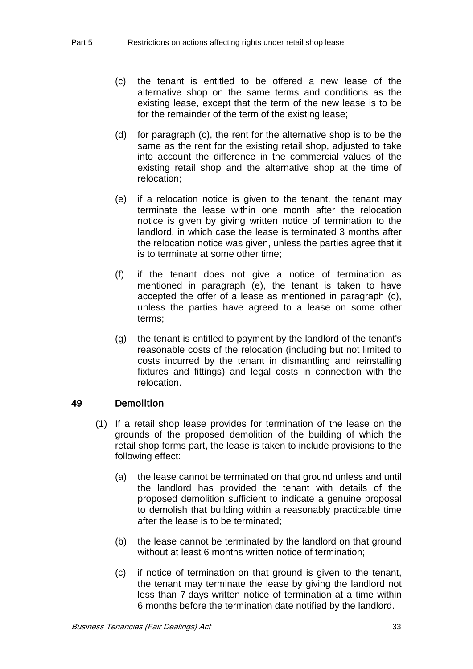- (c) the tenant is entitled to be offered a new lease of the alternative shop on the same terms and conditions as the existing lease, except that the term of the new lease is to be for the remainder of the term of the existing lease;
- (d) for paragraph (c), the rent for the alternative shop is to be the same as the rent for the existing retail shop, adjusted to take into account the difference in the commercial values of the existing retail shop and the alternative shop at the time of relocation;
- (e) if a relocation notice is given to the tenant, the tenant may terminate the lease within one month after the relocation notice is given by giving written notice of termination to the landlord, in which case the lease is terminated 3 months after the relocation notice was given, unless the parties agree that it is to terminate at some other time;
- (f) if the tenant does not give a notice of termination as mentioned in paragraph (e), the tenant is taken to have accepted the offer of a lease as mentioned in paragraph (c), unless the parties have agreed to a lease on some other terms;
- (g) the tenant is entitled to payment by the landlord of the tenant's reasonable costs of the relocation (including but not limited to costs incurred by the tenant in dismantling and reinstalling fixtures and fittings) and legal costs in connection with the relocation.

# 49 Demolition

- (1) If a retail shop lease provides for termination of the lease on the grounds of the proposed demolition of the building of which the retail shop forms part, the lease is taken to include provisions to the following effect:
	- (a) the lease cannot be terminated on that ground unless and until the landlord has provided the tenant with details of the proposed demolition sufficient to indicate a genuine proposal to demolish that building within a reasonably practicable time after the lease is to be terminated;
	- (b) the lease cannot be terminated by the landlord on that ground without at least 6 months written notice of termination;
	- (c) if notice of termination on that ground is given to the tenant, the tenant may terminate the lease by giving the landlord not less than 7 days written notice of termination at a time within 6 months before the termination date notified by the landlord.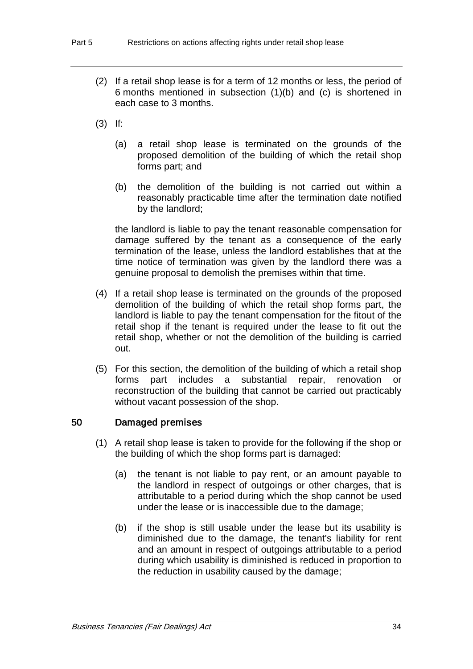- (2) If a retail shop lease is for a term of 12 months or less, the period of 6 months mentioned in subsection (1)(b) and (c) is shortened in each case to 3 months.
- (3) If:
	- (a) a retail shop lease is terminated on the grounds of the proposed demolition of the building of which the retail shop forms part; and
	- (b) the demolition of the building is not carried out within a reasonably practicable time after the termination date notified by the landlord;

the landlord is liable to pay the tenant reasonable compensation for damage suffered by the tenant as a consequence of the early termination of the lease, unless the landlord establishes that at the time notice of termination was given by the landlord there was a genuine proposal to demolish the premises within that time.

- (4) If a retail shop lease is terminated on the grounds of the proposed demolition of the building of which the retail shop forms part, the landlord is liable to pay the tenant compensation for the fitout of the retail shop if the tenant is required under the lease to fit out the retail shop, whether or not the demolition of the building is carried out.
- (5) For this section, the demolition of the building of which a retail shop forms part includes a substantial repair, renovation or reconstruction of the building that cannot be carried out practicably without vacant possession of the shop.

# 50 Damaged premises

- (1) A retail shop lease is taken to provide for the following if the shop or the building of which the shop forms part is damaged:
	- (a) the tenant is not liable to pay rent, or an amount payable to the landlord in respect of outgoings or other charges, that is attributable to a period during which the shop cannot be used under the lease or is inaccessible due to the damage;
	- (b) if the shop is still usable under the lease but its usability is diminished due to the damage, the tenant's liability for rent and an amount in respect of outgoings attributable to a period during which usability is diminished is reduced in proportion to the reduction in usability caused by the damage;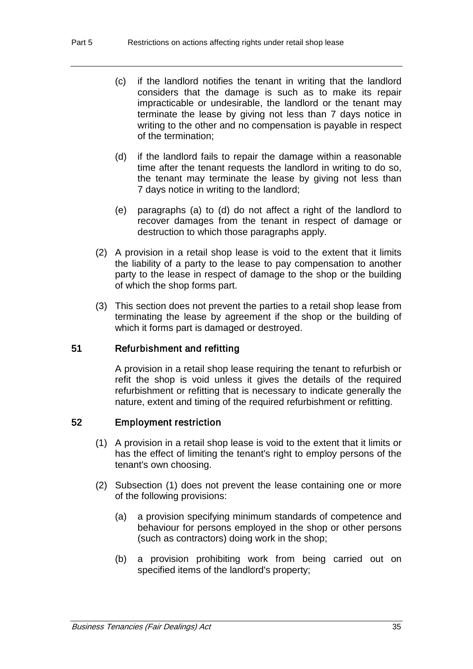- (c) if the landlord notifies the tenant in writing that the landlord considers that the damage is such as to make its repair impracticable or undesirable, the landlord or the tenant may terminate the lease by giving not less than 7 days notice in writing to the other and no compensation is payable in respect of the termination;
- (d) if the landlord fails to repair the damage within a reasonable time after the tenant requests the landlord in writing to do so, the tenant may terminate the lease by giving not less than 7 days notice in writing to the landlord;
- (e) paragraphs (a) to (d) do not affect a right of the landlord to recover damages from the tenant in respect of damage or destruction to which those paragraphs apply.
- (2) A provision in a retail shop lease is void to the extent that it limits the liability of a party to the lease to pay compensation to another party to the lease in respect of damage to the shop or the building of which the shop forms part.
- (3) This section does not prevent the parties to a retail shop lease from terminating the lease by agreement if the shop or the building of which it forms part is damaged or destroyed.

### 51 Refurbishment and refitting

A provision in a retail shop lease requiring the tenant to refurbish or refit the shop is void unless it gives the details of the required refurbishment or refitting that is necessary to indicate generally the nature, extent and timing of the required refurbishment or refitting.

#### 52 Employment restriction

- (1) A provision in a retail shop lease is void to the extent that it limits or has the effect of limiting the tenant's right to employ persons of the tenant's own choosing.
- (2) Subsection (1) does not prevent the lease containing one or more of the following provisions:
	- (a) a provision specifying minimum standards of competence and behaviour for persons employed in the shop or other persons (such as contractors) doing work in the shop;
	- (b) a provision prohibiting work from being carried out on specified items of the landlord's property;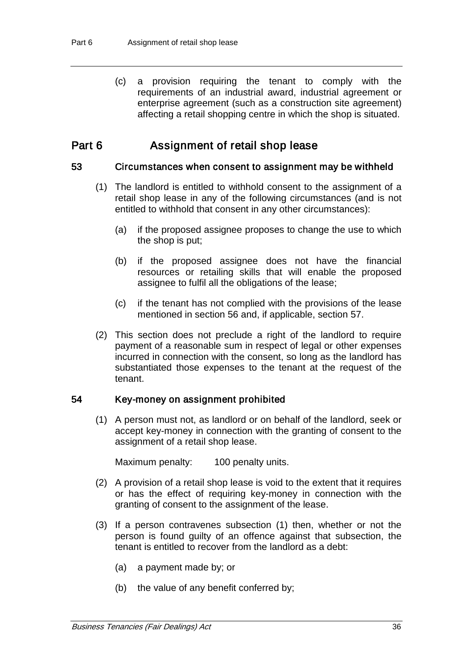(c) a provision requiring the tenant to comply with the requirements of an industrial award, industrial agreement or enterprise agreement (such as a construction site agreement) affecting a retail shopping centre in which the shop is situated.

# Part 6 Assignment of retail shop lease

### 53 Circumstances when consent to assignment may be withheld

- (1) The landlord is entitled to withhold consent to the assignment of a retail shop lease in any of the following circumstances (and is not entitled to withhold that consent in any other circumstances):
	- (a) if the proposed assignee proposes to change the use to which the shop is put;
	- (b) if the proposed assignee does not have the financial resources or retailing skills that will enable the proposed assignee to fulfil all the obligations of the lease;
	- (c) if the tenant has not complied with the provisions of the lease mentioned in section 56 and, if applicable, section 57.
- (2) This section does not preclude a right of the landlord to require payment of a reasonable sum in respect of legal or other expenses incurred in connection with the consent, so long as the landlord has substantiated those expenses to the tenant at the request of the tenant.

### 54 Key-money on assignment prohibited

(1) A person must not, as landlord or on behalf of the landlord, seek or accept key-money in connection with the granting of consent to the assignment of a retail shop lease.

Maximum penalty: 100 penalty units.

- (2) A provision of a retail shop lease is void to the extent that it requires or has the effect of requiring key-money in connection with the granting of consent to the assignment of the lease.
- (3) If a person contravenes subsection (1) then, whether or not the person is found guilty of an offence against that subsection, the tenant is entitled to recover from the landlord as a debt:
	- (a) a payment made by; or
	- (b) the value of any benefit conferred by;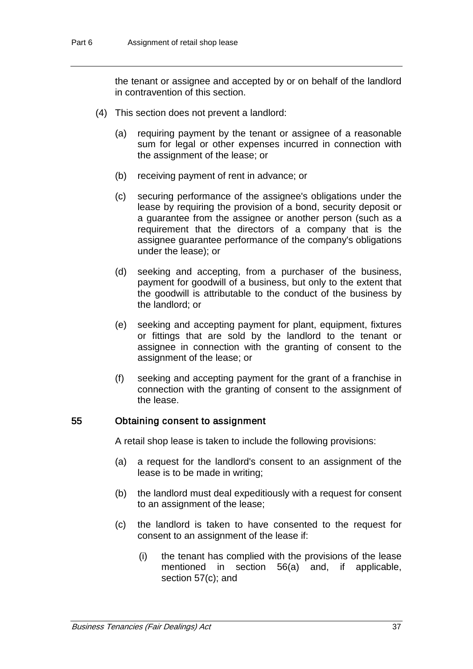the tenant or assignee and accepted by or on behalf of the landlord in contravention of this section.

- (4) This section does not prevent a landlord:
	- (a) requiring payment by the tenant or assignee of a reasonable sum for legal or other expenses incurred in connection with the assignment of the lease; or
	- (b) receiving payment of rent in advance; or
	- (c) securing performance of the assignee's obligations under the lease by requiring the provision of a bond, security deposit or a guarantee from the assignee or another person (such as a requirement that the directors of a company that is the assignee guarantee performance of the company's obligations under the lease); or
	- (d) seeking and accepting, from a purchaser of the business, payment for goodwill of a business, but only to the extent that the goodwill is attributable to the conduct of the business by the landlord; or
	- (e) seeking and accepting payment for plant, equipment, fixtures or fittings that are sold by the landlord to the tenant or assignee in connection with the granting of consent to the assignment of the lease; or
	- (f) seeking and accepting payment for the grant of a franchise in connection with the granting of consent to the assignment of the lease.

### 55 Obtaining consent to assignment

A retail shop lease is taken to include the following provisions:

- (a) a request for the landlord's consent to an assignment of the lease is to be made in writing;
- (b) the landlord must deal expeditiously with a request for consent to an assignment of the lease;
- (c) the landlord is taken to have consented to the request for consent to an assignment of the lease if:
	- (i) the tenant has complied with the provisions of the lease mentioned in section 56(a) and, if applicable, section 57(c); and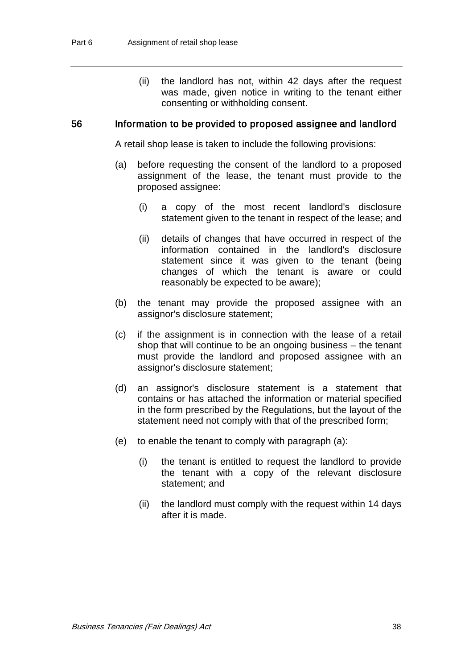(ii) the landlord has not, within 42 days after the request was made, given notice in writing to the tenant either consenting or withholding consent.

### 56 Information to be provided to proposed assignee and landlord

A retail shop lease is taken to include the following provisions:

- (a) before requesting the consent of the landlord to a proposed assignment of the lease, the tenant must provide to the proposed assignee:
	- (i) a copy of the most recent landlord's disclosure statement given to the tenant in respect of the lease; and
	- (ii) details of changes that have occurred in respect of the information contained in the landlord's disclosure statement since it was given to the tenant (being changes of which the tenant is aware or could reasonably be expected to be aware);
- (b) the tenant may provide the proposed assignee with an assignor's disclosure statement;
- (c) if the assignment is in connection with the lease of a retail shop that will continue to be an ongoing business – the tenant must provide the landlord and proposed assignee with an assignor's disclosure statement;
- (d) an assignor's disclosure statement is a statement that contains or has attached the information or material specified in the form prescribed by the Regulations, but the layout of the statement need not comply with that of the prescribed form;
- (e) to enable the tenant to comply with paragraph (a):
	- (i) the tenant is entitled to request the landlord to provide the tenant with a copy of the relevant disclosure statement; and
	- (ii) the landlord must comply with the request within 14 days after it is made.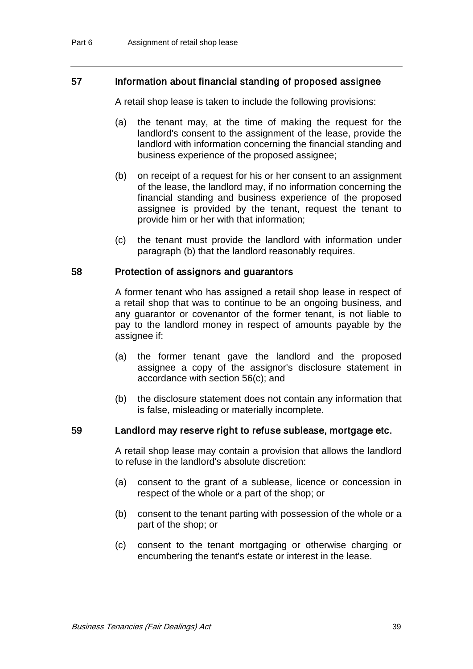## 57 Information about financial standing of proposed assignee

A retail shop lease is taken to include the following provisions:

- (a) the tenant may, at the time of making the request for the landlord's consent to the assignment of the lease, provide the landlord with information concerning the financial standing and business experience of the proposed assignee;
- (b) on receipt of a request for his or her consent to an assignment of the lease, the landlord may, if no information concerning the financial standing and business experience of the proposed assignee is provided by the tenant, request the tenant to provide him or her with that information;
- (c) the tenant must provide the landlord with information under paragraph (b) that the landlord reasonably requires.

#### 58 Protection of assignors and guarantors

A former tenant who has assigned a retail shop lease in respect of a retail shop that was to continue to be an ongoing business, and any guarantor or covenantor of the former tenant, is not liable to pay to the landlord money in respect of amounts payable by the assignee if:

- (a) the former tenant gave the landlord and the proposed assignee a copy of the assignor's disclosure statement in accordance with section 56(c); and
- (b) the disclosure statement does not contain any information that is false, misleading or materially incomplete.

#### 59 Landlord may reserve right to refuse sublease, mortgage etc.

A retail shop lease may contain a provision that allows the landlord to refuse in the landlord's absolute discretion:

- (a) consent to the grant of a sublease, licence or concession in respect of the whole or a part of the shop; or
- (b) consent to the tenant parting with possession of the whole or a part of the shop; or
- (c) consent to the tenant mortgaging or otherwise charging or encumbering the tenant's estate or interest in the lease.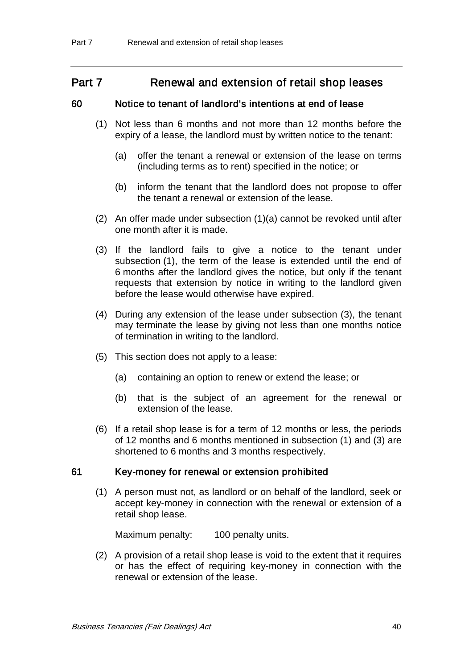# Part 7 Renewal and extension of retail shop leases

## 60 Notice to tenant of landlord's intentions at end of lease

- (1) Not less than 6 months and not more than 12 months before the expiry of a lease, the landlord must by written notice to the tenant:
	- (a) offer the tenant a renewal or extension of the lease on terms (including terms as to rent) specified in the notice; or
	- (b) inform the tenant that the landlord does not propose to offer the tenant a renewal or extension of the lease.
- (2) An offer made under subsection (1)(a) cannot be revoked until after one month after it is made.
- (3) If the landlord fails to give a notice to the tenant under subsection (1), the term of the lease is extended until the end of 6 months after the landlord gives the notice, but only if the tenant requests that extension by notice in writing to the landlord given before the lease would otherwise have expired.
- (4) During any extension of the lease under subsection (3), the tenant may terminate the lease by giving not less than one months notice of termination in writing to the landlord.
- (5) This section does not apply to a lease:
	- (a) containing an option to renew or extend the lease; or
	- (b) that is the subject of an agreement for the renewal or extension of the lease.
- (6) If a retail shop lease is for a term of 12 months or less, the periods of 12 months and 6 months mentioned in subsection (1) and (3) are shortened to 6 months and 3 months respectively.

### 61 Key-money for renewal or extension prohibited

(1) A person must not, as landlord or on behalf of the landlord, seek or accept key-money in connection with the renewal or extension of a retail shop lease.

Maximum penalty: 100 penalty units.

(2) A provision of a retail shop lease is void to the extent that it requires or has the effect of requiring key-money in connection with the renewal or extension of the lease.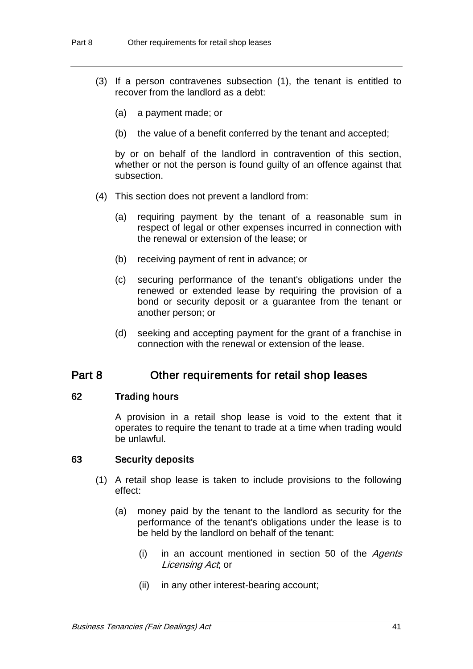- (3) If a person contravenes subsection (1), the tenant is entitled to recover from the landlord as a debt:
	- (a) a payment made; or
	- (b) the value of a benefit conferred by the tenant and accepted;

by or on behalf of the landlord in contravention of this section, whether or not the person is found guilty of an offence against that subsection.

- (4) This section does not prevent a landlord from:
	- (a) requiring payment by the tenant of a reasonable sum in respect of legal or other expenses incurred in connection with the renewal or extension of the lease; or
	- (b) receiving payment of rent in advance; or
	- (c) securing performance of the tenant's obligations under the renewed or extended lease by requiring the provision of a bond or security deposit or a guarantee from the tenant or another person; or
	- (d) seeking and accepting payment for the grant of a franchise in connection with the renewal or extension of the lease.

# Part 8 Other requirements for retail shop leases

## 62 Trading hours

A provision in a retail shop lease is void to the extent that it operates to require the tenant to trade at a time when trading would be unlawful.

### 63 Security deposits

- (1) A retail shop lease is taken to include provisions to the following effect:
	- (a) money paid by the tenant to the landlord as security for the performance of the tenant's obligations under the lease is to be held by the landlord on behalf of the tenant:
		- (i) in an account mentioned in section 50 of the  $Agents$ Licensing Act, or
		- (ii) in any other interest-bearing account;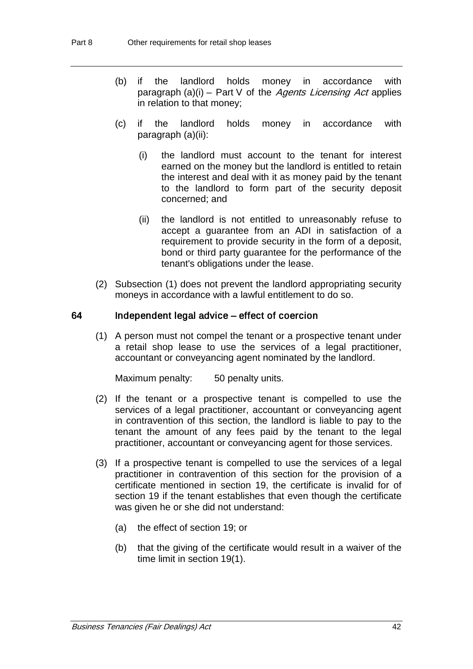- (b) if the landlord holds money in accordance with paragraph  $(a)(i)$  – Part V of the Agents Licensing Act applies in relation to that money;
- (c) if the landlord holds money in accordance with paragraph (a)(ii):
	- (i) the landlord must account to the tenant for interest earned on the money but the landlord is entitled to retain the interest and deal with it as money paid by the tenant to the landlord to form part of the security deposit concerned; and
	- (ii) the landlord is not entitled to unreasonably refuse to accept a guarantee from an ADI in satisfaction of a requirement to provide security in the form of a deposit, bond or third party guarantee for the performance of the tenant's obligations under the lease.
- (2) Subsection (1) does not prevent the landlord appropriating security moneys in accordance with a lawful entitlement to do so.

#### 64 Independent legal advice – effect of coercion

(1) A person must not compel the tenant or a prospective tenant under a retail shop lease to use the services of a legal practitioner, accountant or conveyancing agent nominated by the landlord.

Maximum penalty: 50 penalty units.

- (2) If the tenant or a prospective tenant is compelled to use the services of a legal practitioner, accountant or conveyancing agent in contravention of this section, the landlord is liable to pay to the tenant the amount of any fees paid by the tenant to the legal practitioner, accountant or conveyancing agent for those services.
- (3) If a prospective tenant is compelled to use the services of a legal practitioner in contravention of this section for the provision of a certificate mentioned in section 19, the certificate is invalid for of section 19 if the tenant establishes that even though the certificate was given he or she did not understand:
	- (a) the effect of section 19; or
	- (b) that the giving of the certificate would result in a waiver of the time limit in section 19(1).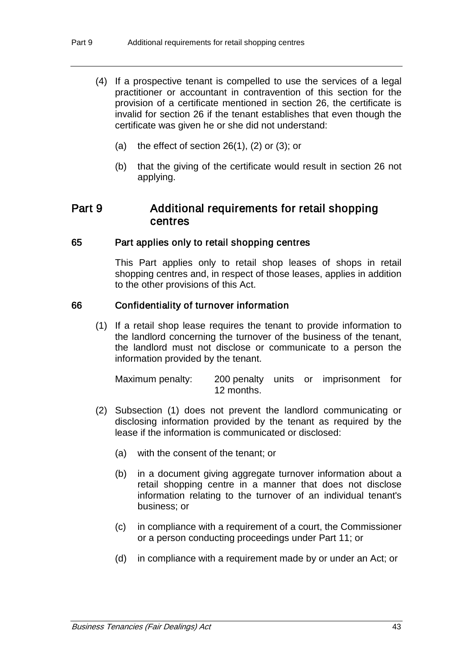- (4) If a prospective tenant is compelled to use the services of a legal practitioner or accountant in contravention of this section for the provision of a certificate mentioned in section 26, the certificate is invalid for section 26 if the tenant establishes that even though the certificate was given he or she did not understand:
	- (a) the effect of section  $26(1)$ ,  $(2)$  or  $(3)$ ; or
	- (b) that the giving of the certificate would result in section 26 not applying.

# Part 9 Additional requirements for retail shopping centres

### 65 Part applies only to retail shopping centres

This Part applies only to retail shop leases of shops in retail shopping centres and, in respect of those leases, applies in addition to the other provisions of this Act.

### 66 Confidentiality of turnover information

(1) If a retail shop lease requires the tenant to provide information to the landlord concerning the turnover of the business of the tenant, the landlord must not disclose or communicate to a person the information provided by the tenant.

Maximum penalty: 200 penalty units or imprisonment for 12 months.

- (2) Subsection (1) does not prevent the landlord communicating or disclosing information provided by the tenant as required by the lease if the information is communicated or disclosed:
	- (a) with the consent of the tenant; or
	- (b) in a document giving aggregate turnover information about a retail shopping centre in a manner that does not disclose information relating to the turnover of an individual tenant's business; or
	- (c) in compliance with a requirement of a court, the Commissioner or a person conducting proceedings under Part 11; or
	- (d) in compliance with a requirement made by or under an Act; or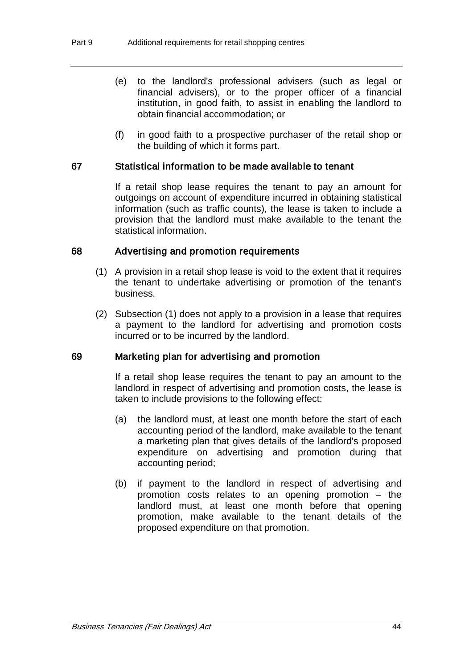- (e) to the landlord's professional advisers (such as legal or financial advisers), or to the proper officer of a financial institution, in good faith, to assist in enabling the landlord to obtain financial accommodation; or
- (f) in good faith to a prospective purchaser of the retail shop or the building of which it forms part.

#### 67 Statistical information to be made available to tenant

If a retail shop lease requires the tenant to pay an amount for outgoings on account of expenditure incurred in obtaining statistical information (such as traffic counts), the lease is taken to include a provision that the landlord must make available to the tenant the statistical information.

#### 68 Advertising and promotion requirements

- (1) A provision in a retail shop lease is void to the extent that it requires the tenant to undertake advertising or promotion of the tenant's business.
- (2) Subsection (1) does not apply to a provision in a lease that requires a payment to the landlord for advertising and promotion costs incurred or to be incurred by the landlord.

### 69 Marketing plan for advertising and promotion

If a retail shop lease requires the tenant to pay an amount to the landlord in respect of advertising and promotion costs, the lease is taken to include provisions to the following effect:

- (a) the landlord must, at least one month before the start of each accounting period of the landlord, make available to the tenant a marketing plan that gives details of the landlord's proposed expenditure on advertising and promotion during that accounting period;
- (b) if payment to the landlord in respect of advertising and promotion costs relates to an opening promotion – the landlord must, at least one month before that opening promotion, make available to the tenant details of the proposed expenditure on that promotion.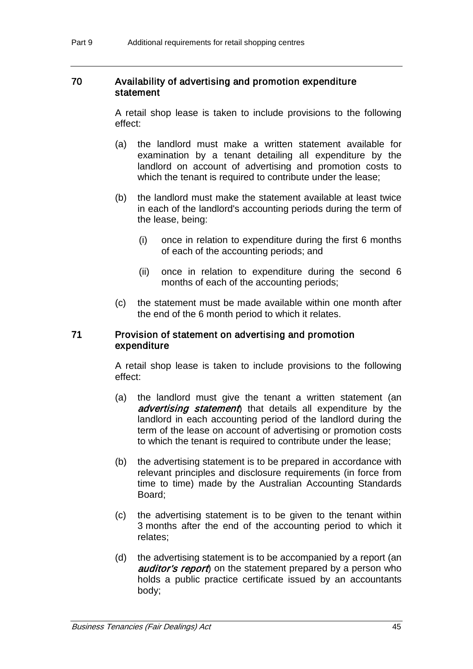### 70 Availability of advertising and promotion expenditure statement

A retail shop lease is taken to include provisions to the following effect:

- (a) the landlord must make a written statement available for examination by a tenant detailing all expenditure by the landlord on account of advertising and promotion costs to which the tenant is required to contribute under the lease;
- (b) the landlord must make the statement available at least twice in each of the landlord's accounting periods during the term of the lease, being:
	- (i) once in relation to expenditure during the first 6 months of each of the accounting periods; and
	- (ii) once in relation to expenditure during the second 6 months of each of the accounting periods;
- (c) the statement must be made available within one month after the end of the 6 month period to which it relates.

## 71 Provision of statement on advertising and promotion expenditure

A retail shop lease is taken to include provisions to the following effect:

- (a) the landlord must give the tenant a written statement (an advertising statement) that details all expenditure by the landlord in each accounting period of the landlord during the term of the lease on account of advertising or promotion costs to which the tenant is required to contribute under the lease;
- (b) the advertising statement is to be prepared in accordance with relevant principles and disclosure requirements (in force from time to time) made by the Australian Accounting Standards Board;
- (c) the advertising statement is to be given to the tenant within 3 months after the end of the accounting period to which it relates;
- (d) the advertising statement is to be accompanied by a report (an auditor's report) on the statement prepared by a person who holds a public practice certificate issued by an accountants body;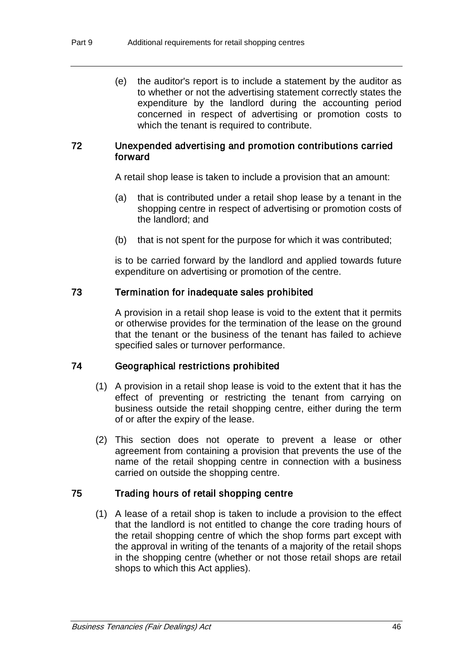(e) the auditor's report is to include a statement by the auditor as to whether or not the advertising statement correctly states the expenditure by the landlord during the accounting period concerned in respect of advertising or promotion costs to which the tenant is required to contribute.

### 72 Unexpended advertising and promotion contributions carried forward

A retail shop lease is taken to include a provision that an amount:

- (a) that is contributed under a retail shop lease by a tenant in the shopping centre in respect of advertising or promotion costs of the landlord; and
- (b) that is not spent for the purpose for which it was contributed;

is to be carried forward by the landlord and applied towards future expenditure on advertising or promotion of the centre.

## 73 Termination for inadequate sales prohibited

A provision in a retail shop lease is void to the extent that it permits or otherwise provides for the termination of the lease on the ground that the tenant or the business of the tenant has failed to achieve specified sales or turnover performance.

#### 74 Geographical restrictions prohibited

- (1) A provision in a retail shop lease is void to the extent that it has the effect of preventing or restricting the tenant from carrying on business outside the retail shopping centre, either during the term of or after the expiry of the lease.
- (2) This section does not operate to prevent a lease or other agreement from containing a provision that prevents the use of the name of the retail shopping centre in connection with a business carried on outside the shopping centre.

#### 75 Trading hours of retail shopping centre

(1) A lease of a retail shop is taken to include a provision to the effect that the landlord is not entitled to change the core trading hours of the retail shopping centre of which the shop forms part except with the approval in writing of the tenants of a majority of the retail shops in the shopping centre (whether or not those retail shops are retail shops to which this Act applies).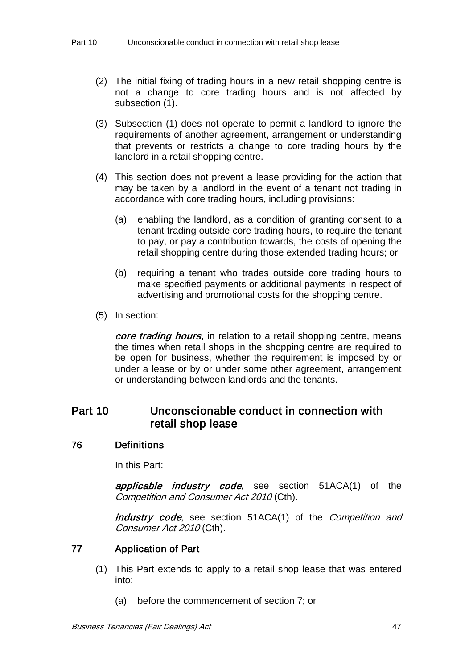- (2) The initial fixing of trading hours in a new retail shopping centre is not a change to core trading hours and is not affected by subsection (1).
- (3) Subsection (1) does not operate to permit a landlord to ignore the requirements of another agreement, arrangement or understanding that prevents or restricts a change to core trading hours by the landlord in a retail shopping centre.
- (4) This section does not prevent a lease providing for the action that may be taken by a landlord in the event of a tenant not trading in accordance with core trading hours, including provisions:
	- (a) enabling the landlord, as a condition of granting consent to a tenant trading outside core trading hours, to require the tenant to pay, or pay a contribution towards, the costs of opening the retail shopping centre during those extended trading hours; or
	- (b) requiring a tenant who trades outside core trading hours to make specified payments or additional payments in respect of advertising and promotional costs for the shopping centre.
- (5) In section:

core trading hours, in relation to a retail shopping centre, means the times when retail shops in the shopping centre are required to be open for business, whether the requirement is imposed by or under a lease or by or under some other agreement, arrangement or understanding between landlords and the tenants.

# Part 10 Unconscionable conduct in connection with retail shop lease

### 76 Definitions

In this Part:

applicable industry code, see section 51ACA(1) of the Competition and Consumer Act 2010 (Cth).

industry code, see section 51ACA(1) of the Competition and Consumer Act 2010 (Cth).

### 77 Application of Part

- (1) This Part extends to apply to a retail shop lease that was entered into:
	- (a) before the commencement of section 7; or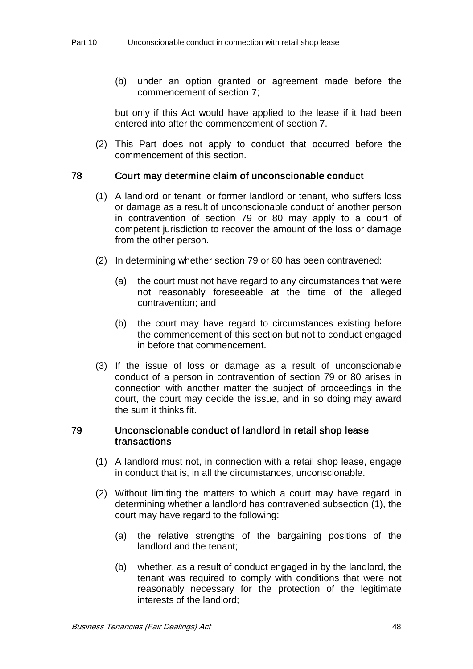(b) under an option granted or agreement made before the commencement of section 7;

but only if this Act would have applied to the lease if it had been entered into after the commencement of section 7.

(2) This Part does not apply to conduct that occurred before the commencement of this section.

### 78 Court may determine claim of unconscionable conduct

- (1) A landlord or tenant, or former landlord or tenant, who suffers loss or damage as a result of unconscionable conduct of another person in contravention of section 79 or 80 may apply to a court of competent jurisdiction to recover the amount of the loss or damage from the other person.
- (2) In determining whether section 79 or 80 has been contravened:
	- (a) the court must not have regard to any circumstances that were not reasonably foreseeable at the time of the alleged contravention; and
	- (b) the court may have regard to circumstances existing before the commencement of this section but not to conduct engaged in before that commencement.
- (3) If the issue of loss or damage as a result of unconscionable conduct of a person in contravention of section 79 or 80 arises in connection with another matter the subject of proceedings in the court, the court may decide the issue, and in so doing may award the sum it thinks fit.

### 79 Unconscionable conduct of landlord in retail shop lease transactions

- (1) A landlord must not, in connection with a retail shop lease, engage in conduct that is, in all the circumstances, unconscionable.
- (2) Without limiting the matters to which a court may have regard in determining whether a landlord has contravened subsection (1), the court may have regard to the following:
	- (a) the relative strengths of the bargaining positions of the landlord and the tenant;
	- (b) whether, as a result of conduct engaged in by the landlord, the tenant was required to comply with conditions that were not reasonably necessary for the protection of the legitimate interests of the landlord;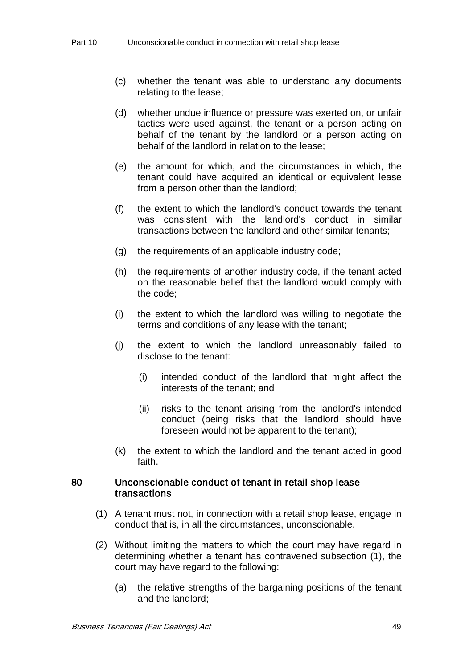- (c) whether the tenant was able to understand any documents relating to the lease;
- (d) whether undue influence or pressure was exerted on, or unfair tactics were used against, the tenant or a person acting on behalf of the tenant by the landlord or a person acting on behalf of the landlord in relation to the lease;
- (e) the amount for which, and the circumstances in which, the tenant could have acquired an identical or equivalent lease from a person other than the landlord;
- (f) the extent to which the landlord's conduct towards the tenant was consistent with the landlord's conduct in similar transactions between the landlord and other similar tenants;
- (g) the requirements of an applicable industry code;
- (h) the requirements of another industry code, if the tenant acted on the reasonable belief that the landlord would comply with the code;
- (i) the extent to which the landlord was willing to negotiate the terms and conditions of any lease with the tenant;
- (j) the extent to which the landlord unreasonably failed to disclose to the tenant:
	- (i) intended conduct of the landlord that might affect the interests of the tenant; and
	- (ii) risks to the tenant arising from the landlord's intended conduct (being risks that the landlord should have foreseen would not be apparent to the tenant);
- (k) the extent to which the landlord and the tenant acted in good faith.

### 80 Unconscionable conduct of tenant in retail shop lease transactions

- (1) A tenant must not, in connection with a retail shop lease, engage in conduct that is, in all the circumstances, unconscionable.
- (2) Without limiting the matters to which the court may have regard in determining whether a tenant has contravened subsection (1), the court may have regard to the following:
	- (a) the relative strengths of the bargaining positions of the tenant and the landlord;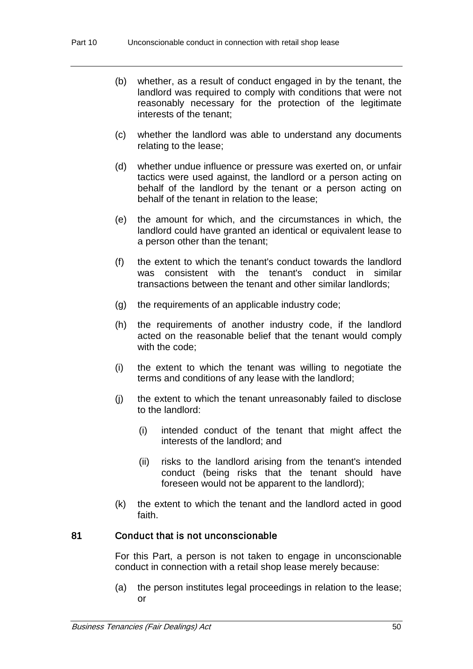- (b) whether, as a result of conduct engaged in by the tenant, the landlord was required to comply with conditions that were not reasonably necessary for the protection of the legitimate interests of the tenant;
- (c) whether the landlord was able to understand any documents relating to the lease;
- (d) whether undue influence or pressure was exerted on, or unfair tactics were used against, the landlord or a person acting on behalf of the landlord by the tenant or a person acting on behalf of the tenant in relation to the lease;
- (e) the amount for which, and the circumstances in which, the landlord could have granted an identical or equivalent lease to a person other than the tenant;
- (f) the extent to which the tenant's conduct towards the landlord was consistent with the tenant's conduct in similar transactions between the tenant and other similar landlords;
- (g) the requirements of an applicable industry code;
- (h) the requirements of another industry code, if the landlord acted on the reasonable belief that the tenant would comply with the code;
- (i) the extent to which the tenant was willing to negotiate the terms and conditions of any lease with the landlord;
- (j) the extent to which the tenant unreasonably failed to disclose to the landlord:
	- (i) intended conduct of the tenant that might affect the interests of the landlord; and
	- (ii) risks to the landlord arising from the tenant's intended conduct (being risks that the tenant should have foreseen would not be apparent to the landlord);
- (k) the extent to which the tenant and the landlord acted in good faith.

### 81 Conduct that is not unconscionable

For this Part, a person is not taken to engage in unconscionable conduct in connection with a retail shop lease merely because:

(a) the person institutes legal proceedings in relation to the lease; or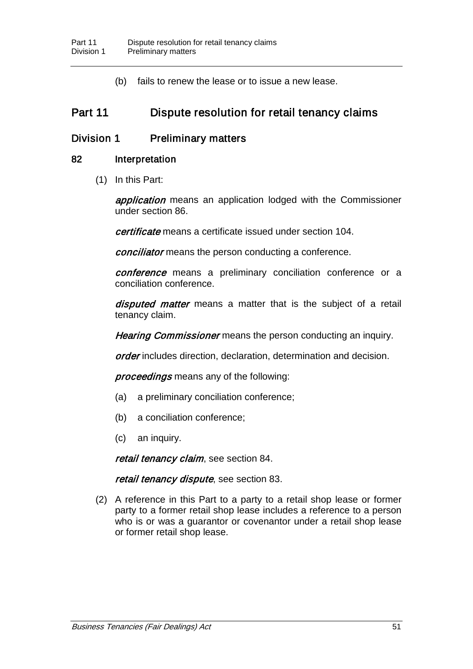(b) fails to renew the lease or to issue a new lease.

# Part 11 Dispute resolution for retail tenancy claims

# Division 1 Preliminary matters

## 82 Interpretation

(1) In this Part:

**application** means an application lodged with the Commissioner under section 86.

certificate means a certificate issued under section 104.

*conciliator* means the person conducting a conference.

conference means a preliminary conciliation conference or a conciliation conference.

disputed matter means a matter that is the subject of a retail tenancy claim.

Hearing Commissioner means the person conducting an inquiry.

order includes direction, declaration, determination and decision.

proceedings means any of the following:

- (a) a preliminary conciliation conference;
- (b) a conciliation conference;
- (c) an inquiry.

retail tenancy claim, see section 84.

retail tenancy dispute, see section 83.

(2) A reference in this Part to a party to a retail shop lease or former party to a former retail shop lease includes a reference to a person who is or was a guarantor or covenantor under a retail shop lease or former retail shop lease.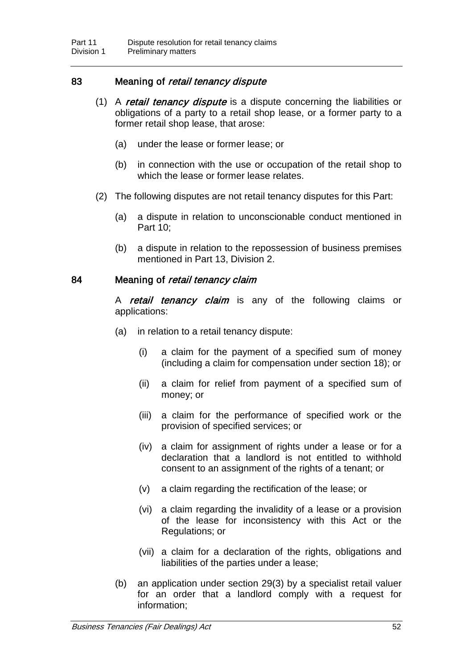# 83 Meaning of retail tenancy dispute

- (1) A *retail tenancy dispute* is a dispute concerning the liabilities or obligations of a party to a retail shop lease, or a former party to a former retail shop lease, that arose:
	- (a) under the lease or former lease; or
	- (b) in connection with the use or occupation of the retail shop to which the lease or former lease relates.
- (2) The following disputes are not retail tenancy disputes for this Part:
	- (a) a dispute in relation to unconscionable conduct mentioned in Part 10;
	- (b) a dispute in relation to the repossession of business premises mentioned in Part 13, Division 2.

### 84 Meaning of *retail tenancy claim*

A retail tenancy claim is any of the following claims or applications:

- (a) in relation to a retail tenancy dispute:
	- (i) a claim for the payment of a specified sum of money (including a claim for compensation under section 18); or
	- (ii) a claim for relief from payment of a specified sum of money; or
	- (iii) a claim for the performance of specified work or the provision of specified services; or
	- (iv) a claim for assignment of rights under a lease or for a declaration that a landlord is not entitled to withhold consent to an assignment of the rights of a tenant; or
	- (v) a claim regarding the rectification of the lease; or
	- (vi) a claim regarding the invalidity of a lease or a provision of the lease for inconsistency with this Act or the Regulations; or
	- (vii) a claim for a declaration of the rights, obligations and liabilities of the parties under a lease;
- (b) an application under section 29(3) by a specialist retail valuer for an order that a landlord comply with a request for information;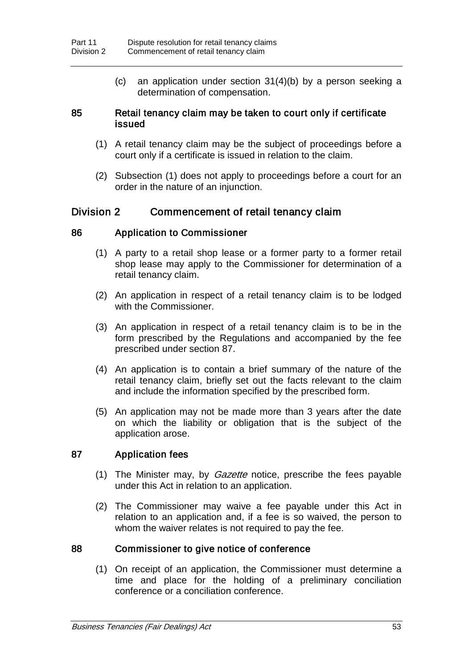(c) an application under section 31(4)(b) by a person seeking a determination of compensation.

#### 85 Retail tenancy claim may be taken to court only if certificate issued

- (1) A retail tenancy claim may be the subject of proceedings before a court only if a certificate is issued in relation to the claim.
- (2) Subsection (1) does not apply to proceedings before a court for an order in the nature of an injunction.

# Division 2 Commencement of retail tenancy claim

### 86 Application to Commissioner

- (1) A party to a retail shop lease or a former party to a former retail shop lease may apply to the Commissioner for determination of a retail tenancy claim.
- (2) An application in respect of a retail tenancy claim is to be lodged with the Commissioner.
- (3) An application in respect of a retail tenancy claim is to be in the form prescribed by the Regulations and accompanied by the fee prescribed under section 87.
- (4) An application is to contain a brief summary of the nature of the retail tenancy claim, briefly set out the facts relevant to the claim and include the information specified by the prescribed form.
- (5) An application may not be made more than 3 years after the date on which the liability or obligation that is the subject of the application arose.

### 87 Application fees

- (1) The Minister may, by *Gazette* notice, prescribe the fees payable under this Act in relation to an application.
- (2) The Commissioner may waive a fee payable under this Act in relation to an application and, if a fee is so waived, the person to whom the waiver relates is not required to pay the fee.

## 88 Commissioner to give notice of conference

(1) On receipt of an application, the Commissioner must determine a time and place for the holding of a preliminary conciliation conference or a conciliation conference.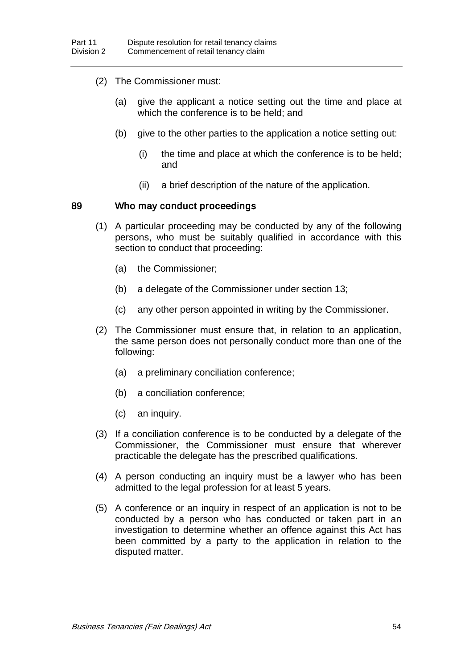- (2) The Commissioner must:
	- (a) give the applicant a notice setting out the time and place at which the conference is to be held; and
	- (b) give to the other parties to the application a notice setting out:
		- (i) the time and place at which the conference is to be held; and
		- (ii) a brief description of the nature of the application.

### 89 Who may conduct proceedings

- (1) A particular proceeding may be conducted by any of the following persons, who must be suitably qualified in accordance with this section to conduct that proceeding:
	- (a) the Commissioner;
	- (b) a delegate of the Commissioner under section 13;
	- (c) any other person appointed in writing by the Commissioner.
- (2) The Commissioner must ensure that, in relation to an application, the same person does not personally conduct more than one of the following:
	- (a) a preliminary conciliation conference;
	- (b) a conciliation conference;
	- (c) an inquiry.
- (3) If a conciliation conference is to be conducted by a delegate of the Commissioner, the Commissioner must ensure that wherever practicable the delegate has the prescribed qualifications.
- (4) A person conducting an inquiry must be a lawyer who has been admitted to the legal profession for at least 5 years.
- (5) A conference or an inquiry in respect of an application is not to be conducted by a person who has conducted or taken part in an investigation to determine whether an offence against this Act has been committed by a party to the application in relation to the disputed matter.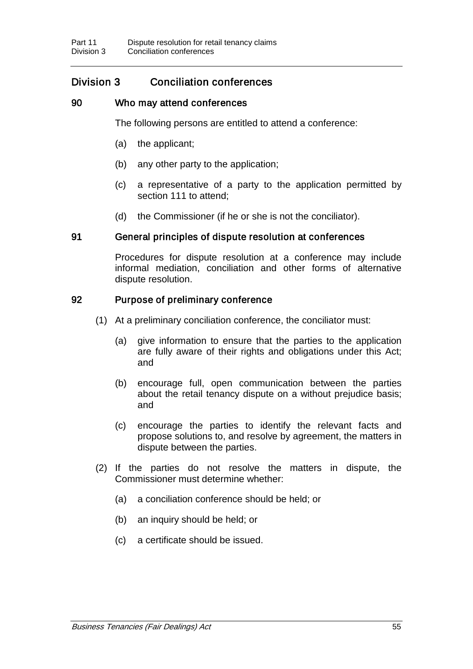# Division 3 Conciliation conferences

## 90 Who may attend conferences

The following persons are entitled to attend a conference:

- (a) the applicant;
- (b) any other party to the application;
- (c) a representative of a party to the application permitted by section 111 to attend;
- (d) the Commissioner (if he or she is not the conciliator).

## 91 General principles of dispute resolution at conferences

Procedures for dispute resolution at a conference may include informal mediation, conciliation and other forms of alternative dispute resolution.

## 92 Purpose of preliminary conference

- (1) At a preliminary conciliation conference, the conciliator must:
	- (a) give information to ensure that the parties to the application are fully aware of their rights and obligations under this Act; and
	- (b) encourage full, open communication between the parties about the retail tenancy dispute on a without prejudice basis; and
	- (c) encourage the parties to identify the relevant facts and propose solutions to, and resolve by agreement, the matters in dispute between the parties.
- (2) If the parties do not resolve the matters in dispute, the Commissioner must determine whether:
	- (a) a conciliation conference should be held; or
	- (b) an inquiry should be held; or
	- (c) a certificate should be issued.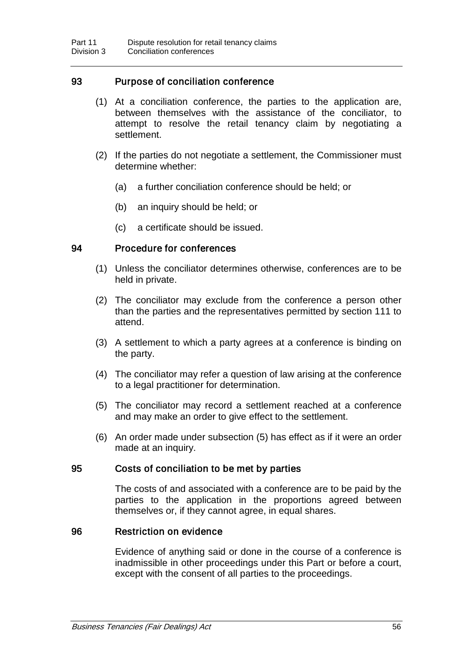## 93 Purpose of conciliation conference

- (1) At a conciliation conference, the parties to the application are, between themselves with the assistance of the conciliator, to attempt to resolve the retail tenancy claim by negotiating a settlement.
- (2) If the parties do not negotiate a settlement, the Commissioner must determine whether:
	- (a) a further conciliation conference should be held; or
	- (b) an inquiry should be held; or
	- (c) a certificate should be issued.

### 94 Procedure for conferences

- (1) Unless the conciliator determines otherwise, conferences are to be held in private.
- (2) The conciliator may exclude from the conference a person other than the parties and the representatives permitted by section 111 to attend.
- (3) A settlement to which a party agrees at a conference is binding on the party.
- (4) The conciliator may refer a question of law arising at the conference to a legal practitioner for determination.
- (5) The conciliator may record a settlement reached at a conference and may make an order to give effect to the settlement.
- (6) An order made under subsection (5) has effect as if it were an order made at an inquiry.

### 95 Costs of conciliation to be met by parties

The costs of and associated with a conference are to be paid by the parties to the application in the proportions agreed between themselves or, if they cannot agree, in equal shares.

#### 96 Restriction on evidence

Evidence of anything said or done in the course of a conference is inadmissible in other proceedings under this Part or before a court, except with the consent of all parties to the proceedings.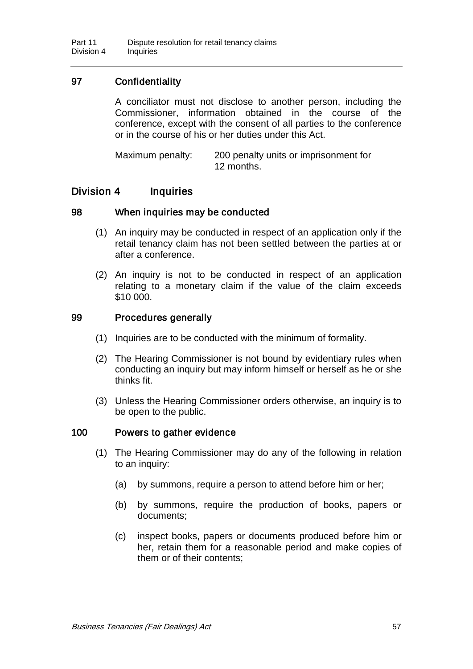# 97 Confidentiality

A conciliator must not disclose to another person, including the Commissioner, information obtained in the course of the conference, except with the consent of all parties to the conference or in the course of his or her duties under this Act.

Maximum penalty: 200 penalty units or imprisonment for 12 months.

# Division 4 Inquiries

## 98 When inquiries may be conducted

- (1) An inquiry may be conducted in respect of an application only if the retail tenancy claim has not been settled between the parties at or after a conference.
- (2) An inquiry is not to be conducted in respect of an application relating to a monetary claim if the value of the claim exceeds \$10 000.

## 99 Procedures generally

- (1) Inquiries are to be conducted with the minimum of formality.
- (2) The Hearing Commissioner is not bound by evidentiary rules when conducting an inquiry but may inform himself or herself as he or she thinks fit.
- (3) Unless the Hearing Commissioner orders otherwise, an inquiry is to be open to the public.

### 100 Powers to gather evidence

- (1) The Hearing Commissioner may do any of the following in relation to an inquiry:
	- (a) by summons, require a person to attend before him or her;
	- (b) by summons, require the production of books, papers or documents;
	- (c) inspect books, papers or documents produced before him or her, retain them for a reasonable period and make copies of them or of their contents;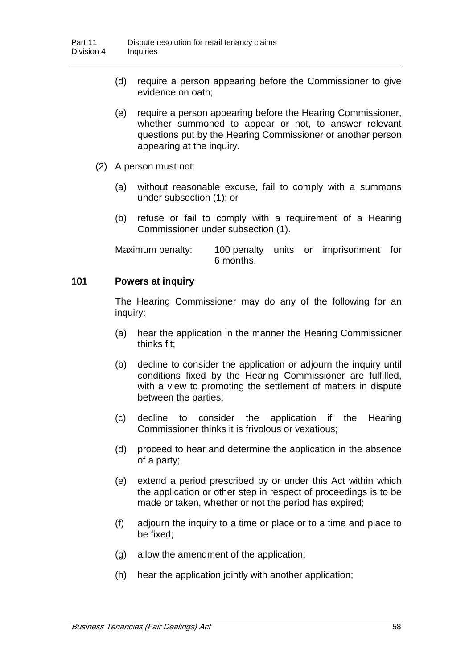- (d) require a person appearing before the Commissioner to give evidence on oath;
- (e) require a person appearing before the Hearing Commissioner, whether summoned to appear or not, to answer relevant questions put by the Hearing Commissioner or another person appearing at the inquiry.
- (2) A person must not:
	- (a) without reasonable excuse, fail to comply with a summons under subsection (1); or
	- (b) refuse or fail to comply with a requirement of a Hearing Commissioner under subsection (1).

Maximum penalty: 100 penalty units or imprisonment for 6 months.

## 101 Powers at inquiry

The Hearing Commissioner may do any of the following for an inquiry:

- (a) hear the application in the manner the Hearing Commissioner thinks fit;
- (b) decline to consider the application or adjourn the inquiry until conditions fixed by the Hearing Commissioner are fulfilled, with a view to promoting the settlement of matters in dispute between the parties;
- (c) decline to consider the application if the Hearing Commissioner thinks it is frivolous or vexatious;
- (d) proceed to hear and determine the application in the absence of a party;
- (e) extend a period prescribed by or under this Act within which the application or other step in respect of proceedings is to be made or taken, whether or not the period has expired;
- (f) adjourn the inquiry to a time or place or to a time and place to be fixed;
- (g) allow the amendment of the application;
- (h) hear the application jointly with another application;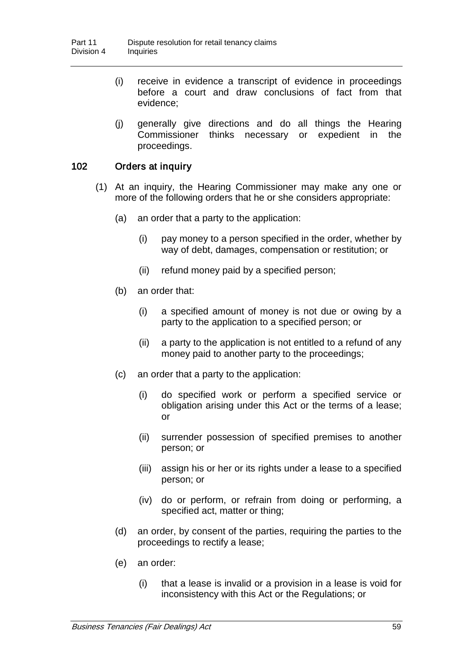- (i) receive in evidence a transcript of evidence in proceedings before a court and draw conclusions of fact from that evidence;
- (j) generally give directions and do all things the Hearing Commissioner thinks necessary or expedient in proceedings.

# 102 Orders at inquiry

- (1) At an inquiry, the Hearing Commissioner may make any one or more of the following orders that he or she considers appropriate:
	- (a) an order that a party to the application:
		- (i) pay money to a person specified in the order, whether by way of debt, damages, compensation or restitution; or
		- (ii) refund money paid by a specified person;
	- (b) an order that:
		- (i) a specified amount of money is not due or owing by a party to the application to a specified person; or
		- (ii) a party to the application is not entitled to a refund of any money paid to another party to the proceedings;
	- (c) an order that a party to the application:
		- (i) do specified work or perform a specified service or obligation arising under this Act or the terms of a lease; or
		- (ii) surrender possession of specified premises to another person; or
		- (iii) assign his or her or its rights under a lease to a specified person; or
		- (iv) do or perform, or refrain from doing or performing, a specified act, matter or thing;
	- (d) an order, by consent of the parties, requiring the parties to the proceedings to rectify a lease;
	- (e) an order:
		- (i) that a lease is invalid or a provision in a lease is void for inconsistency with this Act or the Regulations; or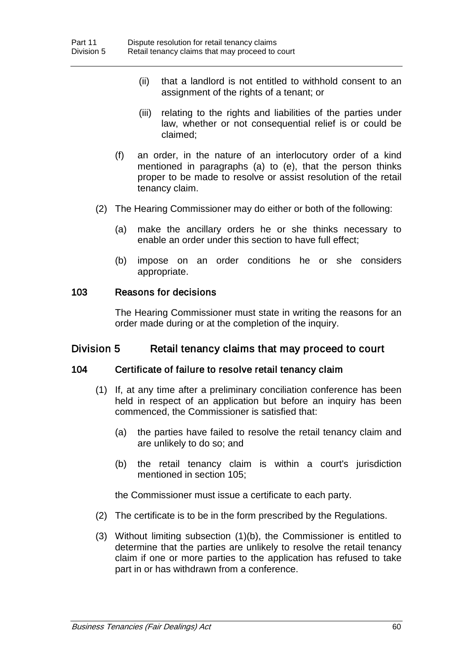- (ii) that a landlord is not entitled to withhold consent to an assignment of the rights of a tenant; or
- (iii) relating to the rights and liabilities of the parties under law, whether or not consequential relief is or could be claimed;
- (f) an order, in the nature of an interlocutory order of a kind mentioned in paragraphs (a) to (e), that the person thinks proper to be made to resolve or assist resolution of the retail tenancy claim.
- (2) The Hearing Commissioner may do either or both of the following:
	- (a) make the ancillary orders he or she thinks necessary to enable an order under this section to have full effect;
	- (b) impose on an order conditions he or she considers appropriate.

### 103 Reasons for decisions

The Hearing Commissioner must state in writing the reasons for an order made during or at the completion of the inquiry.

### Division 5 Retail tenancy claims that may proceed to court

#### 104 Certificate of failure to resolve retail tenancy claim

- (1) If, at any time after a preliminary conciliation conference has been held in respect of an application but before an inquiry has been commenced, the Commissioner is satisfied that:
	- (a) the parties have failed to resolve the retail tenancy claim and are unlikely to do so; and
	- (b) the retail tenancy claim is within a court's jurisdiction mentioned in section 105;

the Commissioner must issue a certificate to each party.

- (2) The certificate is to be in the form prescribed by the Regulations.
- (3) Without limiting subsection (1)(b), the Commissioner is entitled to determine that the parties are unlikely to resolve the retail tenancy claim if one or more parties to the application has refused to take part in or has withdrawn from a conference.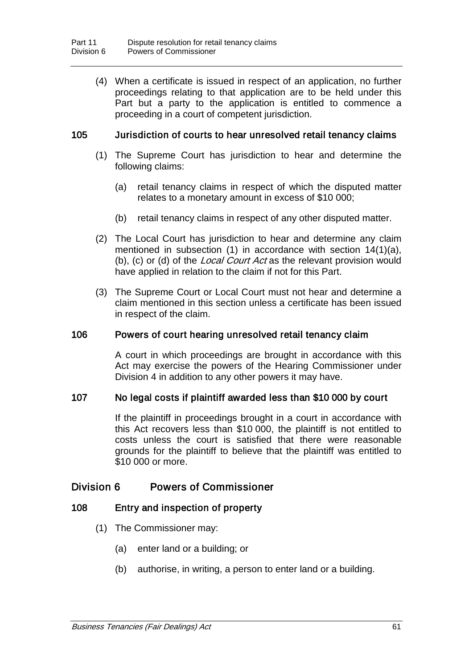(4) When a certificate is issued in respect of an application, no further proceedings relating to that application are to be held under this Part but a party to the application is entitled to commence a proceeding in a court of competent jurisdiction.

## 105 Jurisdiction of courts to hear unresolved retail tenancy claims

- (1) The Supreme Court has jurisdiction to hear and determine the following claims:
	- (a) retail tenancy claims in respect of which the disputed matter relates to a monetary amount in excess of \$10 000;
	- (b) retail tenancy claims in respect of any other disputed matter.
- (2) The Local Court has jurisdiction to hear and determine any claim mentioned in subsection (1) in accordance with section 14(1)(a), (b), (c) or (d) of the *Local Court Act* as the relevant provision would have applied in relation to the claim if not for this Part.
- (3) The Supreme Court or Local Court must not hear and determine a claim mentioned in this section unless a certificate has been issued in respect of the claim.

### 106 Powers of court hearing unresolved retail tenancy claim

A court in which proceedings are brought in accordance with this Act may exercise the powers of the Hearing Commissioner under Division 4 in addition to any other powers it may have.

### 107 No legal costs if plaintiff awarded less than \$10 000 by court

If the plaintiff in proceedings brought in a court in accordance with this Act recovers less than \$10 000, the plaintiff is not entitled to costs unless the court is satisfied that there were reasonable grounds for the plaintiff to believe that the plaintiff was entitled to \$10 000 or more.

# Division 6 Powers of Commissioner

### 108 Entry and inspection of property

- (1) The Commissioner may:
	- (a) enter land or a building; or
	- (b) authorise, in writing, a person to enter land or a building.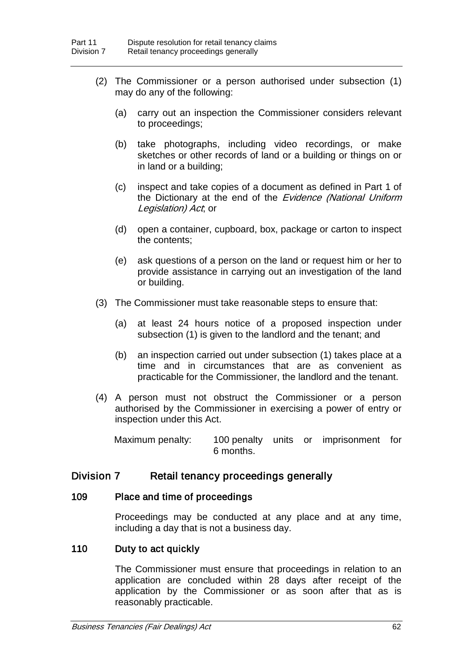- (2) The Commissioner or a person authorised under subsection (1) may do any of the following:
	- (a) carry out an inspection the Commissioner considers relevant to proceedings;
	- (b) take photographs, including video recordings, or make sketches or other records of land or a building or things on or in land or a building;
	- (c) inspect and take copies of a document as defined in Part 1 of the Dictionary at the end of the Evidence (National Uniform Legislation) Act, or
	- (d) open a container, cupboard, box, package or carton to inspect the contents;
	- (e) ask questions of a person on the land or request him or her to provide assistance in carrying out an investigation of the land or building.
- (3) The Commissioner must take reasonable steps to ensure that:
	- (a) at least 24 hours notice of a proposed inspection under subsection (1) is given to the landlord and the tenant; and
	- (b) an inspection carried out under subsection (1) takes place at a time and in circumstances that are as convenient as practicable for the Commissioner, the landlord and the tenant.
- (4) A person must not obstruct the Commissioner or a person authorised by the Commissioner in exercising a power of entry or inspection under this Act.

Maximum penalty: 100 penalty units or imprisonment for 6 months.

# Division 7 Retail tenancy proceedings generally

#### 109 Place and time of proceedings

Proceedings may be conducted at any place and at any time, including a day that is not a business day.

### 110 Duty to act quickly

The Commissioner must ensure that proceedings in relation to an application are concluded within 28 days after receipt of the application by the Commissioner or as soon after that as is reasonably practicable.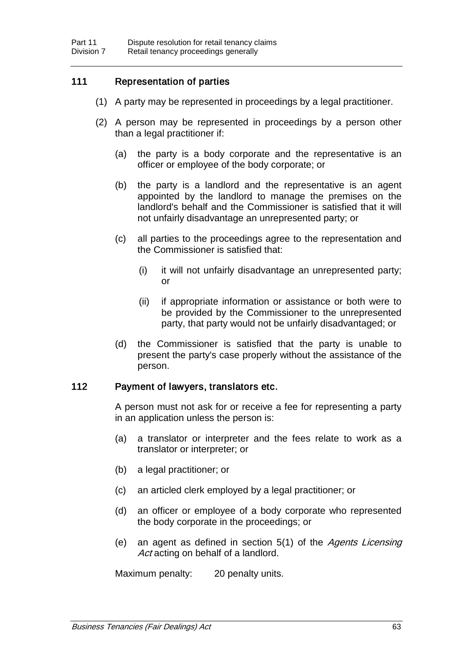# 111 Representation of parties

- (1) A party may be represented in proceedings by a legal practitioner.
- (2) A person may be represented in proceedings by a person other than a legal practitioner if:
	- (a) the party is a body corporate and the representative is an officer or employee of the body corporate; or
	- (b) the party is a landlord and the representative is an agent appointed by the landlord to manage the premises on the landlord's behalf and the Commissioner is satisfied that it will not unfairly disadvantage an unrepresented party; or
	- (c) all parties to the proceedings agree to the representation and the Commissioner is satisfied that:
		- (i) it will not unfairly disadvantage an unrepresented party; or
		- (ii) if appropriate information or assistance or both were to be provided by the Commissioner to the unrepresented party, that party would not be unfairly disadvantaged; or
	- (d) the Commissioner is satisfied that the party is unable to present the party's case properly without the assistance of the person.

### 112 Payment of lawyers, translators etc.

A person must not ask for or receive a fee for representing a party in an application unless the person is:

- (a) a translator or interpreter and the fees relate to work as a translator or interpreter; or
- (b) a legal practitioner; or
- (c) an articled clerk employed by a legal practitioner; or
- (d) an officer or employee of a body corporate who represented the body corporate in the proceedings; or
- (e) an agent as defined in section 5(1) of the Agents Licensing Act acting on behalf of a landlord.

Maximum penalty: 20 penalty units.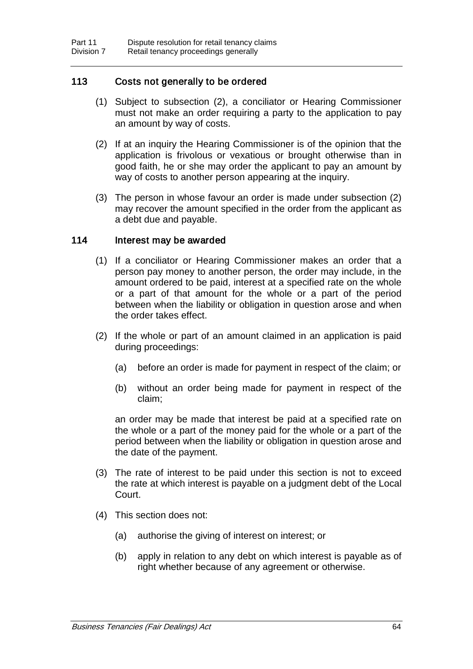# 113 Costs not generally to be ordered

- (1) Subject to subsection (2), a conciliator or Hearing Commissioner must not make an order requiring a party to the application to pay an amount by way of costs.
- (2) If at an inquiry the Hearing Commissioner is of the opinion that the application is frivolous or vexatious or brought otherwise than in good faith, he or she may order the applicant to pay an amount by way of costs to another person appearing at the inquiry.
- (3) The person in whose favour an order is made under subsection (2) may recover the amount specified in the order from the applicant as a debt due and payable.

## 114 Interest may be awarded

- (1) If a conciliator or Hearing Commissioner makes an order that a person pay money to another person, the order may include, in the amount ordered to be paid, interest at a specified rate on the whole or a part of that amount for the whole or a part of the period between when the liability or obligation in question arose and when the order takes effect.
- (2) If the whole or part of an amount claimed in an application is paid during proceedings:
	- (a) before an order is made for payment in respect of the claim; or
	- (b) without an order being made for payment in respect of the claim;

an order may be made that interest be paid at a specified rate on the whole or a part of the money paid for the whole or a part of the period between when the liability or obligation in question arose and the date of the payment.

- (3) The rate of interest to be paid under this section is not to exceed the rate at which interest is payable on a judgment debt of the Local Court.
- (4) This section does not:
	- (a) authorise the giving of interest on interest; or
	- (b) apply in relation to any debt on which interest is payable as of right whether because of any agreement or otherwise.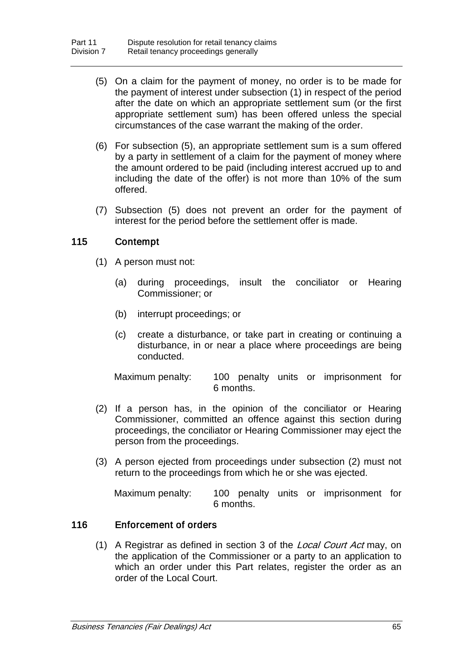- (5) On a claim for the payment of money, no order is to be made for the payment of interest under subsection (1) in respect of the period after the date on which an appropriate settlement sum (or the first appropriate settlement sum) has been offered unless the special circumstances of the case warrant the making of the order.
- (6) For subsection (5), an appropriate settlement sum is a sum offered by a party in settlement of a claim for the payment of money where the amount ordered to be paid (including interest accrued up to and including the date of the offer) is not more than 10% of the sum offered.
- (7) Subsection (5) does not prevent an order for the payment of interest for the period before the settlement offer is made.

## 115 Contempt

- (1) A person must not:
	- (a) during proceedings, insult the conciliator or Hearing Commissioner; or
	- (b) interrupt proceedings; or
	- (c) create a disturbance, or take part in creating or continuing a disturbance, in or near a place where proceedings are being conducted.

Maximum penalty: 100 penalty units or imprisonment for 6 months.

- (2) If a person has, in the opinion of the conciliator or Hearing Commissioner, committed an offence against this section during proceedings, the conciliator or Hearing Commissioner may eject the person from the proceedings.
- (3) A person ejected from proceedings under subsection (2) must not return to the proceedings from which he or she was ejected.

| Maximum penalty: |           |  |  | 100 penalty units or imprisonment for |  |
|------------------|-----------|--|--|---------------------------------------|--|
|                  | 6 months. |  |  |                                       |  |

### 116 Enforcement of orders

(1) A Registrar as defined in section 3 of the Local Court Act may, on the application of the Commissioner or a party to an application to which an order under this Part relates, register the order as an order of the Local Court.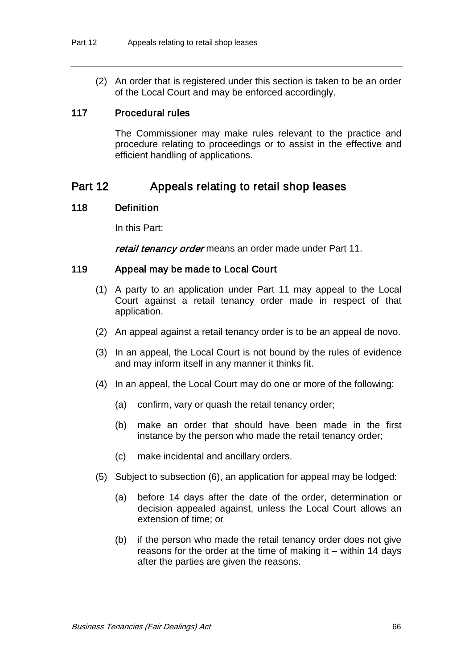(2) An order that is registered under this section is taken to be an order of the Local Court and may be enforced accordingly.

### 117 Procedural rules

The Commissioner may make rules relevant to the practice and procedure relating to proceedings or to assist in the effective and efficient handling of applications.

# Part 12 Appeals relating to retail shop leases

### 118 Definition

In this Part:

retail tenancy order means an order made under Part 11.

### 119 Appeal may be made to Local Court

- (1) A party to an application under Part 11 may appeal to the Local Court against a retail tenancy order made in respect of that application.
- (2) An appeal against a retail tenancy order is to be an appeal de novo.
- (3) In an appeal, the Local Court is not bound by the rules of evidence and may inform itself in any manner it thinks fit.
- (4) In an appeal, the Local Court may do one or more of the following:
	- (a) confirm, vary or quash the retail tenancy order;
	- (b) make an order that should have been made in the first instance by the person who made the retail tenancy order;
	- (c) make incidental and ancillary orders.
- (5) Subject to subsection (6), an application for appeal may be lodged:
	- (a) before 14 days after the date of the order, determination or decision appealed against, unless the Local Court allows an extension of time; or
	- (b) if the person who made the retail tenancy order does not give reasons for the order at the time of making it – within 14 days after the parties are given the reasons.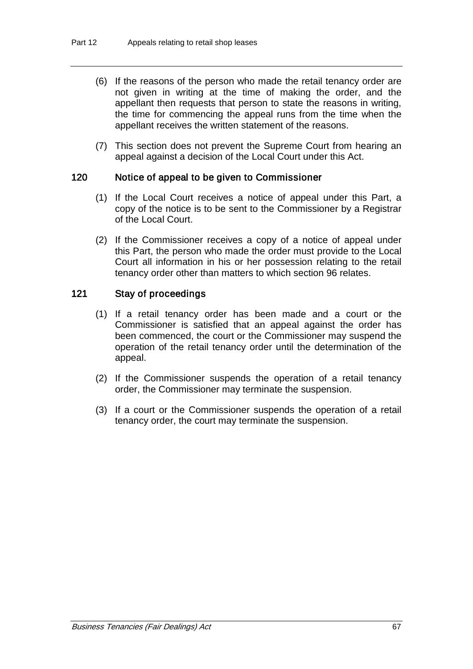- (6) If the reasons of the person who made the retail tenancy order are not given in writing at the time of making the order, and the appellant then requests that person to state the reasons in writing, the time for commencing the appeal runs from the time when the appellant receives the written statement of the reasons.
- (7) This section does not prevent the Supreme Court from hearing an appeal against a decision of the Local Court under this Act.

### 120 Notice of appeal to be given to Commissioner

- (1) If the Local Court receives a notice of appeal under this Part, a copy of the notice is to be sent to the Commissioner by a Registrar of the Local Court.
- (2) If the Commissioner receives a copy of a notice of appeal under this Part, the person who made the order must provide to the Local Court all information in his or her possession relating to the retail tenancy order other than matters to which section 96 relates.

# 121 Stay of proceedings

- (1) If a retail tenancy order has been made and a court or the Commissioner is satisfied that an appeal against the order has been commenced, the court or the Commissioner may suspend the operation of the retail tenancy order until the determination of the appeal.
- (2) If the Commissioner suspends the operation of a retail tenancy order, the Commissioner may terminate the suspension.
- (3) If a court or the Commissioner suspends the operation of a retail tenancy order, the court may terminate the suspension.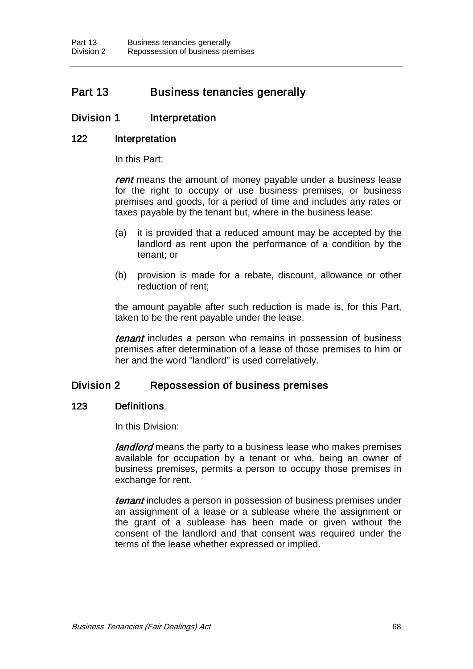# Part 13 Business tenancies generally

# Division 1 Interpretation

#### 122 Interpretation

In this Part:

rent means the amount of money payable under a business lease for the right to occupy or use business premises, or business premises and goods, for a period of time and includes any rates or taxes payable by the tenant but, where in the business lease:

- (a) it is provided that a reduced amount may be accepted by the landlord as rent upon the performance of a condition by the tenant; or
- (b) provision is made for a rebate, discount, allowance or other reduction of rent;

the amount payable after such reduction is made is, for this Part, taken to be the rent payable under the lease.

tenant includes a person who remains in possession of business premises after determination of a lease of those premises to him or her and the word "landlord" is used correlatively.

### Division 2 Repossession of business premises

#### 123 Definitions

In this Division:

landlord means the party to a business lease who makes premises available for occupation by a tenant or who, being an owner of business premises, permits a person to occupy those premises in exchange for rent.

tenant includes a person in possession of business premises under an assignment of a lease or a sublease where the assignment or the grant of a sublease has been made or given without the consent of the landlord and that consent was required under the terms of the lease whether expressed or implied.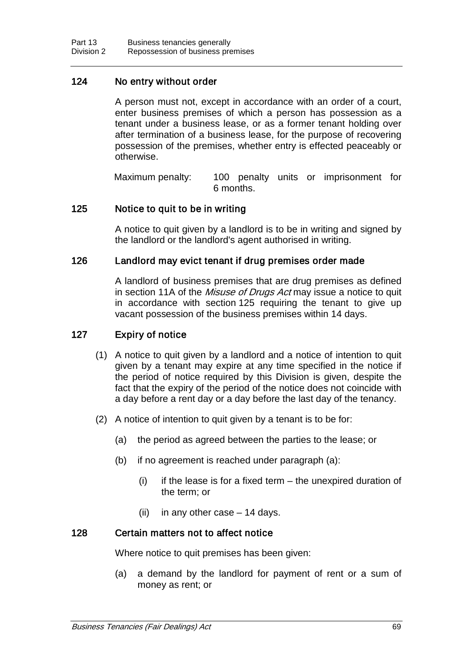#### 124 No entry without order

A person must not, except in accordance with an order of a court, enter business premises of which a person has possession as a tenant under a business lease, or as a former tenant holding over after termination of a business lease, for the purpose of recovering possession of the premises, whether entry is effected peaceably or otherwise.

Maximum penalty: 100 penalty units or imprisonment for 6 months.

#### 125 Notice to quit to be in writing

A notice to quit given by a landlord is to be in writing and signed by the landlord or the landlord's agent authorised in writing.

#### 126 Landlord may evict tenant if drug premises order made

A landlord of business premises that are drug premises as defined in section 11A of the *Misuse of Drugs Act* may issue a notice to quit in accordance with section 125 requiring the tenant to give up vacant possession of the business premises within 14 days.

#### 127 Expiry of notice

- (1) A notice to quit given by a landlord and a notice of intention to quit given by a tenant may expire at any time specified in the notice if the period of notice required by this Division is given, despite the fact that the expiry of the period of the notice does not coincide with a day before a rent day or a day before the last day of the tenancy.
- (2) A notice of intention to quit given by a tenant is to be for:
	- (a) the period as agreed between the parties to the lease; or
	- (b) if no agreement is reached under paragraph (a):
		- $(i)$  if the lease is for a fixed term the unexpired duration of the term; or
		- (ii) in any other case 14 days.

#### 128 Certain matters not to affect notice

Where notice to quit premises has been given:

(a) a demand by the landlord for payment of rent or a sum of money as rent; or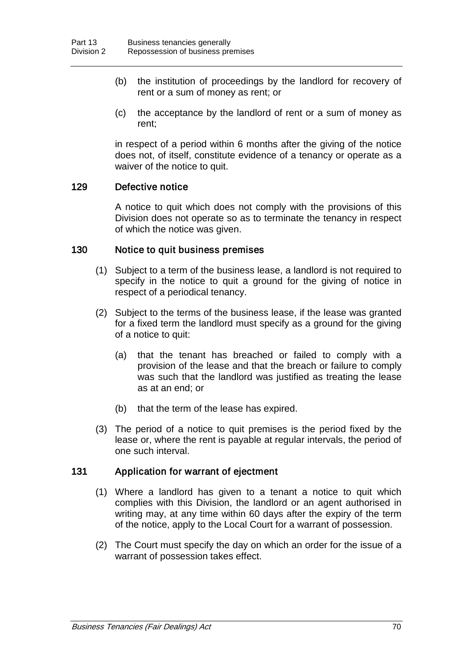- (b) the institution of proceedings by the landlord for recovery of rent or a sum of money as rent; or
- (c) the acceptance by the landlord of rent or a sum of money as rent;

in respect of a period within 6 months after the giving of the notice does not, of itself, constitute evidence of a tenancy or operate as a waiver of the notice to quit.

#### 129 Defective notice

A notice to quit which does not comply with the provisions of this Division does not operate so as to terminate the tenancy in respect of which the notice was given.

#### 130 Notice to quit business premises

- (1) Subject to a term of the business lease, a landlord is not required to specify in the notice to quit a ground for the giving of notice in respect of a periodical tenancy.
- (2) Subject to the terms of the business lease, if the lease was granted for a fixed term the landlord must specify as a ground for the giving of a notice to quit:
	- (a) that the tenant has breached or failed to comply with a provision of the lease and that the breach or failure to comply was such that the landlord was justified as treating the lease as at an end; or
	- (b) that the term of the lease has expired.
- (3) The period of a notice to quit premises is the period fixed by the lease or, where the rent is payable at regular intervals, the period of one such interval.

#### 131 Application for warrant of ejectment

- (1) Where a landlord has given to a tenant a notice to quit which complies with this Division, the landlord or an agent authorised in writing may, at any time within 60 days after the expiry of the term of the notice, apply to the Local Court for a warrant of possession.
- (2) The Court must specify the day on which an order for the issue of a warrant of possession takes effect.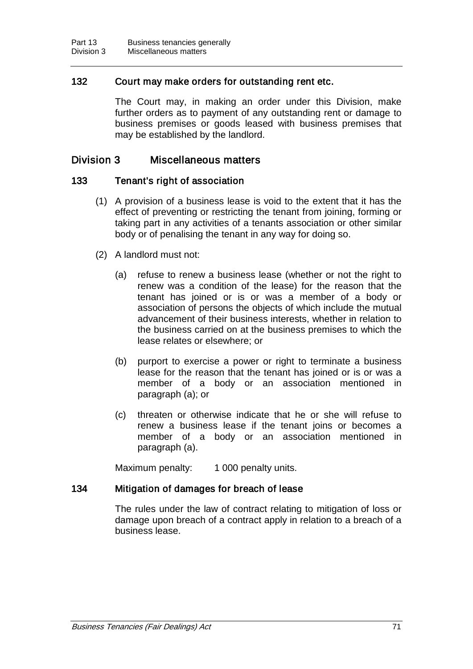# 132 Court may make orders for outstanding rent etc.

The Court may, in making an order under this Division, make further orders as to payment of any outstanding rent or damage to business premises or goods leased with business premises that may be established by the landlord.

# Division 3 Miscellaneous matters

#### 133 Tenant's right of association

- (1) A provision of a business lease is void to the extent that it has the effect of preventing or restricting the tenant from joining, forming or taking part in any activities of a tenants association or other similar body or of penalising the tenant in any way for doing so.
- (2) A landlord must not:
	- (a) refuse to renew a business lease (whether or not the right to renew was a condition of the lease) for the reason that the tenant has joined or is or was a member of a body or association of persons the objects of which include the mutual advancement of their business interests, whether in relation to the business carried on at the business premises to which the lease relates or elsewhere; or
	- (b) purport to exercise a power or right to terminate a business lease for the reason that the tenant has joined or is or was a member of a body or an association mentioned in paragraph (a); or
	- (c) threaten or otherwise indicate that he or she will refuse to renew a business lease if the tenant joins or becomes a member of a body or an association mentioned in paragraph (a).

Maximum penalty: 1 000 penalty units.

#### 134 Mitigation of damages for breach of lease

The rules under the law of contract relating to mitigation of loss or damage upon breach of a contract apply in relation to a breach of a business lease.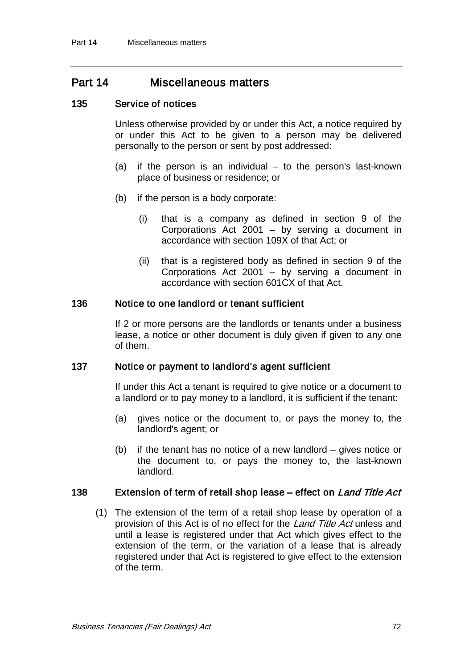# Part 14 Miscellaneous matters

#### 135 Service of notices

Unless otherwise provided by or under this Act, a notice required by or under this Act to be given to a person may be delivered personally to the person or sent by post addressed:

- (a) if the person is an individual to the person's last-known place of business or residence; or
- (b) if the person is a body corporate:
	- (i) that is a company as defined in section 9 of the Corporations Act 2001 – by serving a document in accordance with section 109X of that Act; or
	- (ii) that is a registered body as defined in section 9 of the Corporations Act 2001 – by serving a document in accordance with section 601CX of that Act.

#### 136 Notice to one landlord or tenant sufficient

If 2 or more persons are the landlords or tenants under a business lease, a notice or other document is duly given if given to any one of them.

#### 137 Notice or payment to landlord's agent sufficient

If under this Act a tenant is required to give notice or a document to a landlord or to pay money to a landlord, it is sufficient if the tenant:

- (a) gives notice or the document to, or pays the money to, the landlord's agent; or
- (b) if the tenant has no notice of a new landlord gives notice or the document to, or pays the money to, the last-known landlord.

#### 138 Extension of term of retail shop lease – effect on Land Title Act

(1) The extension of the term of a retail shop lease by operation of a provision of this Act is of no effect for the Land Title Act unless and until a lease is registered under that Act which gives effect to the extension of the term, or the variation of a lease that is already registered under that Act is registered to give effect to the extension of the term.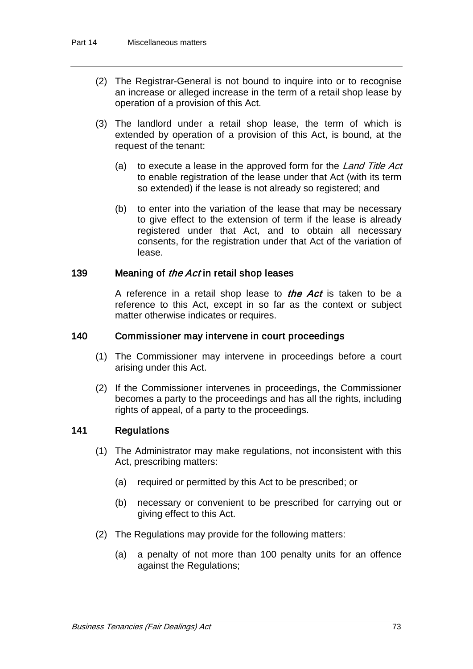- (2) The Registrar-General is not bound to inquire into or to recognise an increase or alleged increase in the term of a retail shop lease by operation of a provision of this Act.
- (3) The landlord under a retail shop lease, the term of which is extended by operation of a provision of this Act, is bound, at the request of the tenant:
	- (a) to execute a lease in the approved form for the Land Title Act to enable registration of the lease under that Act (with its term so extended) if the lease is not already so registered; and
	- (b) to enter into the variation of the lease that may be necessary to give effect to the extension of term if the lease is already registered under that Act, and to obtain all necessary consents, for the registration under that Act of the variation of lease.

#### 139 Meaning of the Act in retail shop leases

A reference in a retail shop lease to *the Act* is taken to be a reference to this Act, except in so far as the context or subject matter otherwise indicates or requires.

#### 140 Commissioner may intervene in court proceedings

- (1) The Commissioner may intervene in proceedings before a court arising under this Act.
- (2) If the Commissioner intervenes in proceedings, the Commissioner becomes a party to the proceedings and has all the rights, including rights of appeal, of a party to the proceedings.

#### 141 Regulations

- (1) The Administrator may make regulations, not inconsistent with this Act, prescribing matters:
	- (a) required or permitted by this Act to be prescribed; or
	- (b) necessary or convenient to be prescribed for carrying out or giving effect to this Act.
- (2) The Regulations may provide for the following matters:
	- (a) a penalty of not more than 100 penalty units for an offence against the Regulations;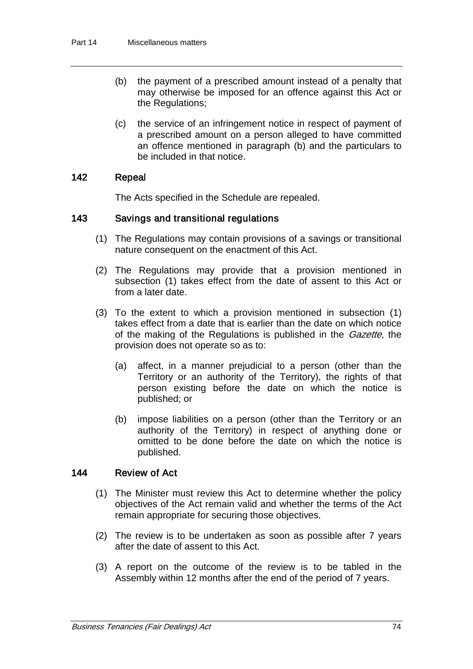- (b) the payment of a prescribed amount instead of a penalty that may otherwise be imposed for an offence against this Act or the Regulations;
- (c) the service of an infringement notice in respect of payment of a prescribed amount on a person alleged to have committed an offence mentioned in paragraph (b) and the particulars to be included in that notice.

#### 142 Repeal

The Acts specified in the Schedule are repealed.

#### 143 Savings and transitional regulations

- (1) The Regulations may contain provisions of a savings or transitional nature consequent on the enactment of this Act.
- (2) The Regulations may provide that a provision mentioned in subsection (1) takes effect from the date of assent to this Act or from a later date.
- (3) To the extent to which a provision mentioned in subsection (1) takes effect from a date that is earlier than the date on which notice of the making of the Regulations is published in the *Gazette*, the provision does not operate so as to:
	- (a) affect, in a manner prejudicial to a person (other than the Territory or an authority of the Territory), the rights of that person existing before the date on which the notice is published; or
	- (b) impose liabilities on a person (other than the Territory or an authority of the Territory) in respect of anything done or omitted to be done before the date on which the notice is published.

### 144 Review of Act

- (1) The Minister must review this Act to determine whether the policy objectives of the Act remain valid and whether the terms of the Act remain appropriate for securing those objectives.
- (2) The review is to be undertaken as soon as possible after 7 years after the date of assent to this Act.
- (3) A report on the outcome of the review is to be tabled in the Assembly within 12 months after the end of the period of 7 years.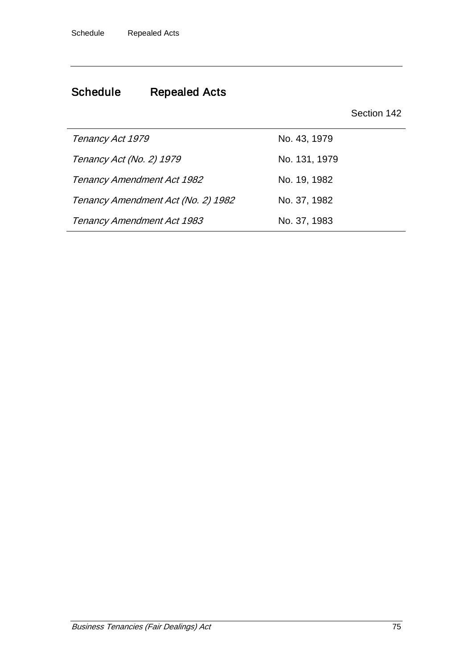# Schedule Repealed Acts

# Section 142

| Tenancy Act 1979                   | No. 43, 1979  |
|------------------------------------|---------------|
| Tenancy Act (No. 2) 1979           | No. 131, 1979 |
| Tenancy Amendment Act 1982         | No. 19, 1982  |
| Tenancy Amendment Act (No. 2) 1982 | No. 37, 1982  |
| Tenancy Amendment Act 1983         | No. 37, 1983  |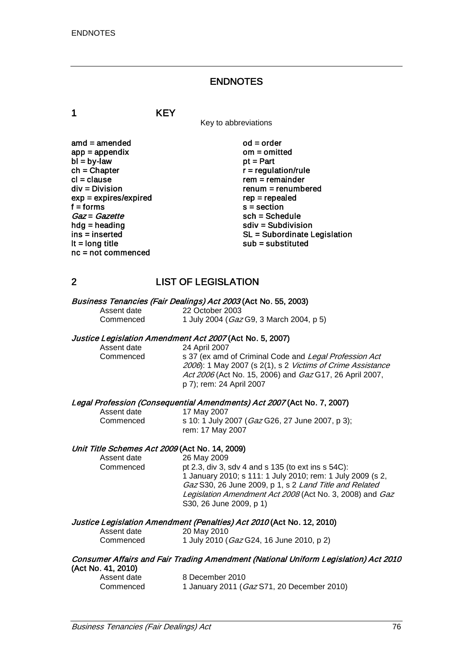#### ENDNOTES

1 KEY

Key to abbreviations

amd = amended od = order<br>app = appendix om = omitted  $app = appendix$  om = om<br>  $bl = by-law$  of = Part  $bl = by-law$ <br>ch = Chapter  $ch = Chapter$ <br>  $cl = clause$  regulation/rule cl = clause rem = remainder<br>div = Division rem = remumber  $exp = exp$ ires/expired<br>f = forms  $Gaz = Gazette$ <br>hdg = heading hdg = heading solution<br>ins = inserted solution<br>SL = Subordinate L nc = not commenced

 $renum = renumbered$ <br> $rep = rep\end{eq}$  $s = section$ <br> $sch = Schedule$ ins = inserted state of the SL = Subordinate Legislation<br>  $\mathsf{I} \mathsf{t} = \mathsf{long}$  title state of the substituted substituted substituted  $sub =$ substituted

# 2 LIST OF LEGISLATION

# Business Tenancies (Fair Dealings) Act 2003 (Act No. 55, 2003)<br>Assent date 22 October 2003

Assent date 22 October 2003<br>Commenced 1 July 2004 (Gaz 1 July 2004 (Gaz G9, 3 March 2004, p 5)

# Justice Legislation Amendment Act 2007 (Act No. 5, 2007)<br>Assent date 24 April 2007

Assent date 24 April 2007<br>Commenced s 37 (ex amd s 37 (ex amd of Criminal Code and Legal Profession Act 2006): 1 May 2007 (s 2(1), s 2 Victims of Crime Assistance Act 2006 (Act No. 15, 2006) and Gaz G17, 26 April 2007, p 7); rem: 24 April 2007

# Legal Profession (Consequential Amendments) Act 2007 (Act No. 7, 2007)<br>Assent date 17 May 2007

Assent date 17 May 2007<br>Commenced 5 10: 1 July 2

s 10: 1 July 2007 (Gaz G26, 27 June 2007, p 3); rem: 17 May 2007

# Unit Title Schemes Act 2009 (Act No. 14, 2009)<br>Assent date 26 May 2009

Assent date 26 May 2009<br>Commenced bt 2.3, div 3, s pt 2.3, div 3, sdv 4 and s 135 (to ext ins s  $54C$ ): 1 January 2010; s 111: 1 July 2010; rem: 1 July 2009 (s 2, Gaz S30, 26 June 2009, p 1, s 2 Land Title and Related Legislation Amendment Act 2008 (Act No. 3, 2008) and Gaz S30, 26 June 2009, p 1)

Justice Legislation Amendment (Penalties) Act 2010 (Act No. 12, 2010)

Assent date 20 May 2010<br>Commenced 1 July 2010 ( 1 July 2010 (Gaz G24, 16 June 2010, p 2)

#### Consumer Affairs and Fair Trading Amendment (National Uniform Legislation) Act 2010 (Act No. 41, 2010)

| Assent date | 8 December 2010                            |
|-------------|--------------------------------------------|
| Commenced   | 1 January 2011 (Gaz S71, 20 December 2010) |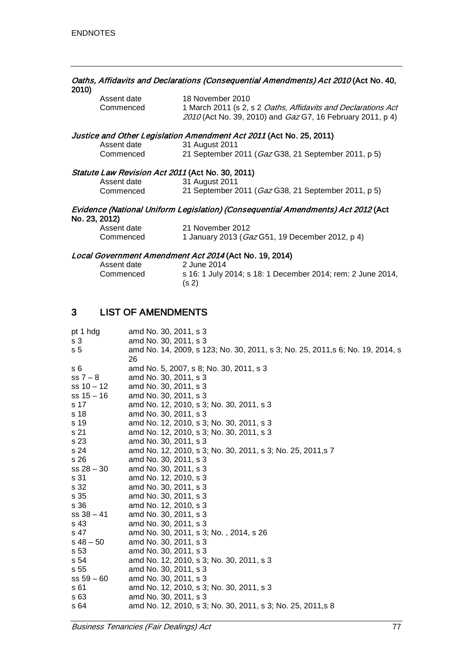|       |                | Oaths, Affidavits and Declarations (Consequential Amendments) Act 2010 (Act No. 40, |
|-------|----------------|-------------------------------------------------------------------------------------|
| 2010) |                |                                                                                     |
|       | $0.00001$ dota | $10$ November $2010$                                                                |

| 18 November 2010                                                     |
|----------------------------------------------------------------------|
| 1 March 2011 (s 2, s 2 <i>Oaths, Affidavits and Declarations Act</i> |
| 2010 (Act No. 39, 2010) and <i>Gaz</i> G7, 16 February 2011, p 4)    |
|                                                                      |

#### Justice and Other Legislation Amendment Act 2011 (Act No. 25, 2011)

| Assent date | 31 August 2011                                      |  |  |
|-------------|-----------------------------------------------------|--|--|
| Commenced   | 21 September 2011 (Gaz G38, 21 September 2011, p 5) |  |  |

#### Statute Law Revision Act 2011 (Act No. 30, 2011)

| Assent date | 31 August 2011                                              |
|-------------|-------------------------------------------------------------|
| Commenced   | 21 September 2011 ( <i>Gaz</i> G38, 21 September 2011, p 5) |

#### Evidence (National Uniform Legislation) (Consequential Amendments) Act 2012 (Act No. 23, 2012)

| Assent date | 21 November 2012                                |
|-------------|-------------------------------------------------|
| Commenced   | 1 January 2013 (Gaz G51, 19 December 2012, p 4) |

#### Local Government Amendment Act 2014 (Act No. 19, 2014)

| Assent date | 2 June 2014                                                                      |
|-------------|----------------------------------------------------------------------------------|
| Commenced   | s 16: 1 July 2014; s 18: 1 December 2014; rem: 2 June 2014,<br>(s <sub>2</sub> ) |
|             |                                                                                  |

# 3 LIST OF AMENDMENTS

| pt 1 hdg       | amd No. 30, 2011, s 3                                                          |
|----------------|--------------------------------------------------------------------------------|
| s <sub>3</sub> | amd No. 30, 2011, s 3                                                          |
| s <sub>5</sub> | amd No. 14, 2009, s 123; No. 30, 2011, s 3; No. 25, 2011, s 6; No. 19, 2014, s |
|                | 26                                                                             |
| s 6            | amd No. 5, 2007, s 8; No. 30, 2011, s 3                                        |
| $ss 7-8$       | amd No. 30, 2011, s 3                                                          |
| $ss 10 - 12$   | amd No. 30, 2011, s 3                                                          |
| $ss 15 - 16$   | amd No. 30, 2011, s 3                                                          |
| s 17           | amd No. 12, 2010, s 3; No. 30, 2011, s 3                                       |
| s 18           | amd No. 30, 2011, s 3                                                          |
| s 19           | amd No. 12, 2010, s 3; No. 30, 2011, s 3                                       |
| s 21           | amd No. 12, 2010, s 3; No. 30, 2011, s 3                                       |
| s 23           | amd No. 30, 2011, s 3                                                          |
| s 24           | amd No. 12, 2010, s 3; No. 30, 2011, s 3; No. 25, 2011, s 7                    |
| s 26           | amd No. 30, 2011, s 3                                                          |
| $ss 28 - 30$   | amd No. 30, 2011, s 3                                                          |
| s 31           | amd No. 12, 2010, s 3                                                          |
| s 32           | amd No. 30, 2011, s 3                                                          |
| s 35           | amd No. 30, 2011, s 3                                                          |
| s 36           | amd No. 12, 2010, s 3                                                          |
| $ss 38 - 41$   | amd No. 30, 2011, s 3                                                          |
| s 43           | amd No. 30, 2011, s 3                                                          |
| s 47           | amd No. 30, 2011, s 3; No., 2014, s 26                                         |
| $s$ 48 – 50    | amd No. 30, 2011, s 3                                                          |
| s 53           | amd No. 30, 2011, s 3                                                          |
| s 54           | amd No. 12, 2010, s 3; No. 30, 2011, s 3                                       |
| s 55           | amd No. 30, 2011, s 3                                                          |
| $ss 59 - 60$   | amd No. 30, 2011, s 3                                                          |
| s 61           | amd No. 12, 2010, s 3; No. 30, 2011, s 3                                       |
| s 63           | amd No. 30, 2011, s 3                                                          |
| s 64           | amd No. 12, 2010, s 3; No. 30, 2011, s 3; No. 25, 2011, s 8                    |
|                |                                                                                |